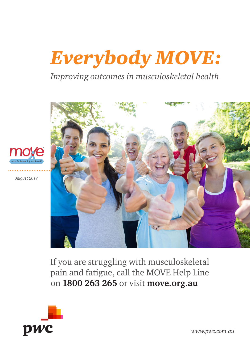# *Everybody MOVE:*

*Improving outcomes in musculoskeletal health*



*August 2017*



If you are struggling with musculoskeletal pain and fatigue, call the MOVE Help Line on **1800 263 265** or visit **move.org.au**



*www.pwc.com.au*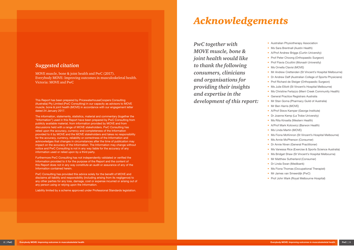*PwC together with MOVE muscle, bone & joint health would like to thank the following consumers, clinicians and organisations for providing their insights and expertise in the development of this report:*

- Australian Physiotherapy Association
- Ms Sara Brentnall (Austin Health)
- A/Prof Andrew Briggs (Curtin University)
- Prof Peter Choong (Orthopaedic Surgeon)
- Prof Flavia Cicuttini (Monash University)
- Ms Ornella Clavisi (MOVE)
- Mr Andrew Crettenden (St Vincent's Hospital Melbourne)
- Dr Andrew Daff (Australian College of Sports Physicians)
- Prof Richard de Steiger (Orthopaedic Surgeon)
- Ms Julie Elliott (St Vincent's Hospital Melbourne)
- Ms Christine Ferlazzo (Merri Creek Community Health)
- General Practice Registrars Australia
- Mr Stan Goma (Pharmacy Guild of Australia)
- Mr Ben Harris (MOVE)
- A/Prof Steve Kamper (George Institute)
- Dr Joanne Kemp (La Trobe University)
- Ms Rita Kinsella (Western Health)
- A/Prof Mark Kotowicz (Barwon Health)
- Ms Linda Martin (MOVE)
- Ms Fiona McKinnon (St Vincent's Hospital Melbourne)
- Ms Annie McPherson (Consumer)
- Dr Annie Niven (General Practitioner)
- Ms Vanessa Rice (Exercise & Sports Science Australia)
- Ms Bridget Shaw (St Vincent's Hospital Melbourne)
- Mr Matthew Sutherland (Consumer)
- Dr Linda Swan (Medibank)
- Ms Fiona Thomas (Occupational Therapist)
- Mr James van Smeerdijk (PwC)
- Prof John Wark (Royal Melbourne Hospital)

## *Suggested citation*

MOVE muscle, bone & joint health and PwC (2017). Everybody MOVE: Improving outcomes in musculoskeletal health. Victoria: MOVE and PwC

This Report has been prepared by PricewaterhouseCoopers Consulting (Australia) Pty Limited (PwC Consulting) in our capacity as advisors to MOVE muscle, bone & joint health (MOVE) in accordance with our engagement letter dated 24 January 2017.

The information, statements, statistics, material and commentary (together the "Information") used in this Report have been prepared by PwC Consulting from publicly available material, from information provided by MOVE and from discussions held with a range of MOVE stakeholders. PwC Consulting has relied upon the accuracy, currency and completeness of the Information provided to it by MOVE and the MOVE stakeholders and takes no responsibility for the accuracy, currency, reliability or correctness of the Information and acknowledges that changes in circumstances after the time of publication may impact on the accuracy of the Information. The Information may change without notice and PwC Consulting is not in any way liable for the accuracy of any information used or relied upon by a third party.

Furthermore PwC Consulting has not independently validated or verified the Information provided to it for the purpose of the Report and the content of this Report does not in any way constitute an audit or assurance of any of the Information contained herein.

PwC Consulting has provided this advice solely for the benefit of MOVE and disclaims all liability and responsibility (including arising from its negligence) to any other parties for any loss, damage, cost or expense incurred or arising out of any person using or relying upon the Information.

Liability limited by a scheme approved under Professional Standards legislation.

# *Acknowledgements*

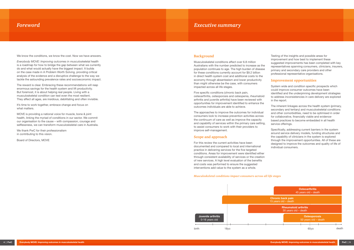## *Foreword Executive summary*

We know the conditions, we know the cost. Now we have answers.

*Everybody MOVE: Improving outcomes in musculoskeletal health* is a roadmap for how to bridge the gap between what we currently do and what would actually have the biggest impact. It builds on the case made in A Problem Worth Solving, providing critical analysis of the evidence and a disruptive challenge to the way we tackle the astounding prevalence rates and socioeconomic impact.

It's time to work together, embrace change and focus on what matters.

The reward is clear. Embracing these recommendations will reap enormous savings for the health system and lift productivity. But foremost, it is about helping real people. Living with a musculoskeletal condition can test even the most resilient. They affect all ages, are insidious, debilitating and often invisible.

MOVE is providing a national voice for muscle, bone & joint health, linking the myriad of conditions in our sector. We commit our organisation to the cause – with compassion, courage and selflessness, we can transform musculoskeletal care in Australia.

We thank PwC for their professionalism in contributing to this vision.

Board of Directors, MOVE

#### **Background**

Musculoskeletal conditions affect over 6.8 million Australians with the number predicted to increase as the population continues to age. The high burden of disease for these conditions currently account for \$9.2 billion in direct health system cost and additional costs to the economy through absenteeism and lower productivity than might otherwise be the case, with consumers impacted across all life stages.

> The inherent linkages across the health system (primary, secondary and tertiary) and musculoskeletal conditions and other comorbidities, need to be optimised in order for collaborative, financially viable and evidencebased practices to become embedded in all health service offerings.

Five specific conditions (chronic back pain, osteoarthritis, osteoporosis and osteopenia, rheumatoid arthritis and juvenile arthritis) have been reviewed with opportunities for improvement identified to enhance the outcomes individuals are able to achieve.

The approaches to improve the outcomes for individual consumers look to increase prevention activities across the continuum of care as well as improve the capacity and capability of services within the primary care setting, to assist consumers to work with their providers to improve self-management.

### **Scope and approach**

For this review the current activities have been documented and compared to local and international practice in delivering services for the five targeted conditions. Areas for improvement were identified either through consistent availability of services or the creation of new services. A high level evaluation of the benefits and costs was performed to ensure the suggested interventions add value to the system as a whole.

Testing of the insights and possible areas for improvement and how best to implement these suggested improvements has been completed with key representatives spanning consumers, clinicians, insurers, primary and secondary care providers and other professional representative organisations.

#### **Improvement opportunities**

System wide and condition specific prospects which could improve consumer outcomes have been identified and the underpinning development strategies to address inconsistencies in care delivery are explored in the report.

Specifically, addressing current barriers in the system around service delivery models, funding structures and the capability of clinicians in the system is explored through the improvement opportunities. All of these are designed to improve the outcomes and quality of life of individual consumers.

#### *Musculoskeletal conditions impact consumers across all life stages*

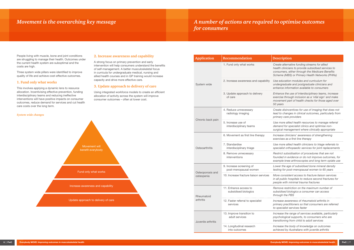People living with muscle, bone and joint conditions are struggling to manage their health. Outcomes under the current health system are suboptimal and the costs are high.

Three system wide pillars were identified to improve quality of life and achieve cost-effective outcomes.

#### **1. Fund only what works**

This involves applying a dynamic lens to resource allocation. Incentivising effective prevention, funding interdisciplinary teams and reducing ineffective interventions will have positive impacts on consumer outcomes, reduce demand for services and cut health care costs over the long term.

#### **2. Increase awareness and capability**

A strong focus on primary prevention and early intervention will help consumers understand the benefits of self-management. A better musculoskeletal focus in curricula for undergraduate medical, nursing and allied health courses and in GP training would increase capacity and drive more effective care.

#### **3. Update approach to delivery of care**

Using integrated workforce models to create an efficient allocation of activity across the system will improve consumer outcomes – often at lower cost.



# *Movement is the overarching key message A number of actions are required to optimise outcomes for consumers*

| <b>Application</b>             | <b>Recommendation</b>                             | <b>Description</b>                                                    |
|--------------------------------|---------------------------------------------------|-----------------------------------------------------------------------|
|                                | 1. Fund only what works                           | Create alternat<br>health clinician<br>consumers, eit<br>Scheme (MBS) |
| System wide                    | 2. Increase awareness and capability              | Use education<br>undergraduate<br>enhance inforn                      |
|                                | 3. Update approach to delivery<br>of care         | Enhance the us<br>exercise throug<br>movement part<br>50 years        |
|                                | 4. Reduce unnecessary<br>radiology imaging        | Create disincel<br>lead to change<br>primary care pi                  |
| Chronic back pain              | 5. Increase use of<br>interdisciplinary teams     | Use more allied<br>demand for sp<br>surgical manag                    |
|                                | 6. Movement as first line therapy                 | Increase clinici<br>exercises as a                                    |
| Osteoarthritis                 | 7. Standardise<br>interdisciplinary triage        | Use more allied<br>specialist ortho                                   |
|                                | 8. Remove unnecessary<br>interventions            | Restrict subsia<br>founded in evid<br>example knee                    |
|                                | 9. Increase screening of<br>post-menopausal women | Lower the age<br>testing for post                                     |
| Osteoporosis and<br>osteopenia | 10. Increase fracture liaison services            | More consister<br>in all public ho.<br>people with mi                 |
| Rheumatoid                     | 11. Enhance access to<br>subsidised biologics     | Remove restric<br>subsidised bior<br>through the PE                   |
| arthritis                      | 12. Faster referral to specialist<br>services     | Increase aware<br>primary practit.<br>to specialist se                |
| Juvenile arthritis             | 13. Improve transition to<br>adult services       | Increase the ra<br>psychological s<br>transitioning fro               |
|                                | 14. Longitudinal research<br>into outcomes        | Increase the bo<br>achieved by Au                                     |
|                                |                                                   |                                                                       |

| Recommendation                                    | <b>Description</b>                                                                                                                                                                                        |
|---------------------------------------------------|-----------------------------------------------------------------------------------------------------------------------------------------------------------------------------------------------------------|
| 1. Fund only what works                           | Create alternative funding streams for allied<br>health clinicians to provide subsidised services to<br>consumers, either through the Medicare Benefits<br>Scheme (MBS) or Primary Health Networks (PHNs) |
| 2. Increase awareness and capability              | Use education modules and curriculum for<br>undergraduate and postgraduate clinicians and<br>enhance information available to consumers                                                                   |
| 3. Update approach to delivery<br>of care         | Enhance the use of interdisciplinary teams, increase<br>exercise through inclusion as a 'vital sign' and make<br>movement part of health checks for those aged over<br>50 years                           |
| 4. Reduce unnecessary<br>radiology imaging        | Create disincentives for use of imaging that does not<br>lead to changes in clinical outcomes, particularly from<br>primary care providers                                                                |
| 5. Increase use of<br>interdisciplinary teams     | Use more allied health resources to manage referral<br>demand for specialist clinics and optimise non-<br>surgical management where clinically appropriate                                                |
| 6. Movement as first line therapy                 | Increase clinicians' awareness of strengthening<br>exercises as a first line therapy                                                                                                                      |
| 7. Standardise<br>interdisciplinary triage        | Use more allied health clinicians to triage referrals to<br>specialist orthopaedic services for joint replacements                                                                                        |
| 8. Remove unnecessary<br>interventions            | Restrict subsidisation of procedures that are not<br>founded in evidence or do not improve outcomes, for<br>example knee arthroscopies and long term opiate use                                           |
| 9. Increase screening of<br>post-menopausal women | Lower the age of subsidised bone mineral density<br>testing for post-menopausal women to 65 years                                                                                                         |
| 10. Increase fracture liaison services            | More consistent access to fracture liaison services<br>in all public hospitals to reduce second fractures for<br>people with minimal trauma fractures                                                     |
| 11. Enhance access to<br>subsidised biologics     | Remove restriction on the maximum number of<br>subsidised biologics a consumer can access<br>through the PBS                                                                                              |
| 12. Faster referral to specialist<br>services     | Increase awareness of rheumatoid arthritis in<br>primary practitioners so that consumers are referred<br>to specialist services faster                                                                    |
| 13. Improve transition to<br>adult services       | Increase the range of services available, particularly<br>psychological supports, to consumers who are<br>transitioning from child to adult services                                                      |
| 14. Longitudinal research<br>into outcomes        | Increase the body of knowledge on outcomes<br>achieved by Australians with juvenile arthritis                                                                                                             |
|                                                   |                                                                                                                                                                                                           |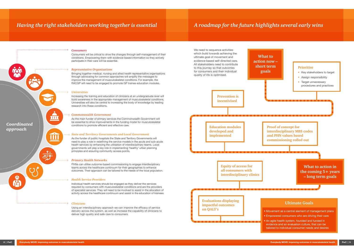#### *Clinicians*

Using an interdisciplinary approach we can improve the efficacy of service delivery across the system, as well as increase the capability of clinicians to deliver high quality and safe care to consumers.

#### *Representative Organisations*

Bringing together medical, nursing and allied health representative organisations through advocating for common approaches will amplify the messages to improve the management of musculoskeletal conditions. For example, the RACGP will need to be engaged to promote GP trainee education modules.

#### *Universities*

 $\overline{\mathbf{H}}$ 

Increasing the training and education of clinicians at an undergraduate level will build awareness in the appropriate management of musculoskeletal conditions. Universities will also be central to increasing the body of knowledge by leading research into these conditions.

#### *Commonwealth Government*

As the main funder of primary services the Commonwealth Government will be essential to drive improvements in the funding model for musculoskeletal conditions to promote efficient and effective care.

#### *State and Territory Governments and Local Government*

As the funder of public hospitals the State and Territory Governments will need to play a role in redefining the service models in the acute and sub-acute health services by enhancing the utilisation of interdisciplinary teams. Local governments will play a key role in implementing 'healthy' urban planning principles and ensuring community access points.

#### *Primary Health Networks*

PHNs can utilise outcome-based commissioning to engage interdisciplinary teams across the healthcare continuum for their geographies to enhance outcomes. Their approach can be tailored to the needs of the local population.

#### *Health Service Providers*

Individual health services should be engaged as they deliver the services required by consumers with musculoskeletal conditions and are the providers of specialist services. They will need to be involved to assist in the allocation of activity across the healthcare continuum and assist in the education of trainees.

#### *Consumers*

Consumers will be critical to drive the changes through self-management of their conditions. Empowering them with evidence-based information so they actively participate in their care will be essential.

*Coordinated approach*

- 
- 
- 



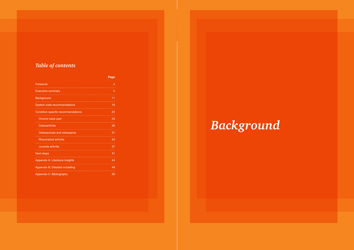# *Table of contents*

|                                    | Page           |
|------------------------------------|----------------|
| Foreword                           | $\overline{4}$ |
| <b>Executive summary</b>           | 5              |
| <b>Background</b>                  | 11             |
| System wide recommendations        | 16             |
| Condition specific recommendations | 22             |
| Chronic back pain                  | 23             |
| <b>Osteoarthritis</b>              | 26             |
| Osteoporosis and osteopenia        | 31             |
| <b>Rheumatoid arthritis</b>        | 34             |
| Juvenile arthritis                 | 37             |
| <b>Next steps</b>                  | 41             |
| Appendix A: Literature insights    | 44             |
| Appendix B: Detailed modelling     | 49             |
| Appendix C: Bibliography           | 56             |

# *Background*

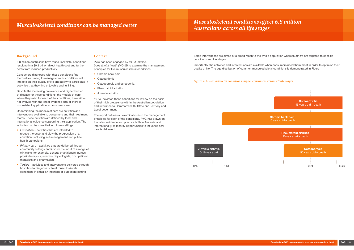Some interventions are aimed at a broad reach to the whole population whereas others are targeted to specific conditions and life stages.

Importantly, the activities and interventions are available when consumers need them most in order to optimise their quality of life. The age distribution of common musculoskeletal conditions is demonstrated in Figure 1.

#### *Figure 1. Musculoskeletal conditions impact consumers across all life stages*



# *Musculoskeletal conditions can be managed better*

#### **Background**

6.8 million Australians have musculoskeletal conditions resulting in a \$9.2 billion direct health cost and further costs from reduced productivity.

Consumers diagnosed with these conditions find themselves having to manage chronic conditions with impacts on their quality of life and ability to participate in activities that they find enjoyable and fulfilling.

Despite the increasing prevalence and higher burden of disease for these conditions, the models of care, where they exist for each of the conditions, have either not evolved with the latest evidence and/or there is inconsistent application to consumer care.

- Chronic back pain
- Osteoarthritis
- Osteoporosis and osteopenia
- Rheumatoid arthritis
- Juvenile arthritis

Underpinning the models of care are activities and interventions available to consumers and their treatment teams. These activities are defined by local and international evidence supporting their application. The activities can be classified into three settings:

- *• Prevention* activities that are intended to reduce the onset and slow the progression of a condition, including self-management and public health campaigns
- *• Primary care* activities that are delivered through community settings and involve the input of a range of clinicians, for example, general practitioners, nurses, physiotherapists, exercise physiologists, occupational therapists and pharmacists
- *• Tertiary* activities and interventions delivered through hospitals to diagnose or treat musculoskeletal conditions in either an inpatient or outpatient setting

#### **Context**

PwC has been engaged by *MOVE muscle, bone & joint health (MOVE)* to examine the management principles for five musculoskeletal conditions:

*MOVE* selected these conditions for review on the basis of their high prevalence within the Australian population and relevance to Commonwealth, State and Territory and Local government.

The report outlines an examination into the management principles for each of the conditions. PwC has drawn on the latest evidence and practice both in Australia and internationally, to identify opportunities to influence how care is delivered.

## *Musculoskeletal conditions affect 6.8 million Australians across all life stages*

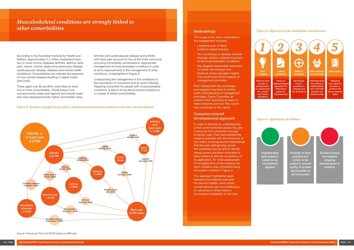#### *Figure 3: Objectives of the stakeholder consultations*

#### *Figure 4: Application of evidence*

#### **Methodology**

The scope of the work undertaken in this engagement included:

- Literature scan of latest evidence-based practice
- Two workshops to develop and test strategic options underpinning each of the musculoskeletal conditions
- Key targeted stakeholder interviews to further test findings from literature review and gain insights into current and future impacts on management principles

PwC utilised both the workshops and targeted interviews to further build understanding of management principles. Figure 3 provides an outline of the objectives for each of these sessions and how they would then contribute to this report.

#### **Consumer centred developmental approach**



In order to develop an understanding of the current activities across the care continuum from prevention through to tertiary care, PwC documented the range of activities with the consumer at the centre, to recognise the relationships that the care settings play across the consumer journey and to identify where current practices compared to latest evidence and the consistency of its application. An initial assessment of the application of the evidence for each condition was completed using the system outlined in Figure 4.

This approach highlighted gaps between the evidence base and the service models, areas where current services are not contributing to outcomes or where there is inconsistent availability of services.



Hearing from a range of **perspectives** b understand the current and future situations





## *Musculoskeletal conditions are strongly linked to other comorbidities*

According to the Australian Institute for Health and Welfare, approximately 5.3 million Australians have two or more chronic diseases (arthritis, asthma, back pain, cancer, chronic obstructive pulmonary disease, cardiovascular disease, diabetes and mental health conditions). Comorbidities can indicate the presence of more severe disease resulting in higher health care costs.

Those aged over 65 are 60% more likely to have two or more comorbidities. Those living in low socioeconomic areas and regional and remote areas also have disproportionally higher comorbidity rates.

Arthritis with cardiovascular disease and arthritis with back pain account for two of the most commonly occurring comorbidity combinations. Appropriate management of musculoskeletal conditions in order to drive improvements in the management of other conditions, is highlighted in Figure 2.

Underpinning the management of the conditions is the importance of movement and an active lifestyle. Targeting movement for people with musculoskeletal conditions is able to bring about positive impacts on a number of linked comorbidities.

#### *Figure 2: Number of people living with co-morbid musculoskeletal conditions and other chronic diseases*



Source: Analysis by PwC and MOVE based on ABS data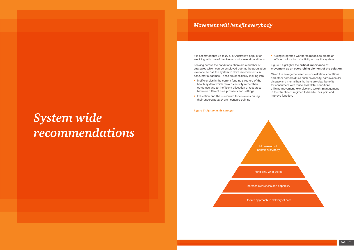# *Movement will benefit everybody*

#### *Figure 5: System wide changes*

It is estimated that up to 27% of Australia's population are living with one of the five musculoskeletal conditions.

Looking across the conditions, there are a number of strategies which can be employed both at the population level and across the system to drive improvements in consumer outcomes. These are specifically looking into:

- Inefficiencies in the current funding structure of the health system which rewards activity rather than outcomes and an inefficient allocation of resources between different care providers and settings
- Education and the curriculum for clinicians during their undergraduate/ pre-licensure training

• Using integrated workforce models to create an efficient allocation of activity across the system.

#### Figure 5 highlights the **critical importance of movement as an overarching element of the solution.**

Given the linkage between musculoskeletal conditions and other comorbidities such as obesity, cardiovascular disease and mental health, there are clear benefits for consumers with musculoskeletal conditions utilising movement, exercise and weight management in their treatment regimen to handle their pain and improve function.

*System wide recommendations*

> Movement will benefit everybody

Fund only what works

Increase awareness and capability



Update approach to delivery of care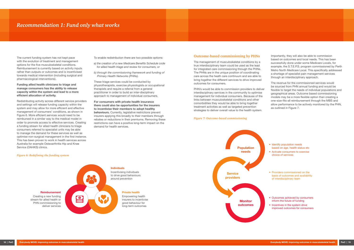#### **Outcome-based commissioning by PHNs**

The management of musculoskeletal conditions by a true interdisciplinary team could be used as the lead for integrated care commissioning through the PHNs. The PHNs are in the unique position of coordinating care across the heath care continuum and are able to bring together the different services to drive improved outcomes for consumers.

PHN's would be able to commission providers to deliver interdisciplinary services in the community to optimise management for individual consumers. Because of the links between musculoskeletal conditions and other comorbidities they would be able to bring together treatment activities as well as targeted prevention strategies to deliver overall value to the health system.

Importantly, they will also be able to commission based on outcomes and local needs. This has been successfully done under some Medicare Locals, for example, the S.T.E.P.S. program commissioned by Perth Metro North Medicare Local. This specifically addressed a shortage of specialist pain management services through an interdisciplinary approach.

The revenue for the commissioned services would be sourced from PHN annual funding and would be flexible to target the needs of individual populations and geographical areas. Outcome based commissioning models may be a more flexible option than creating a one-size-fits-all reimbursement through the MBS and allow performance to be actively monitored by the PHN, as outlined in Figure 7.

#### *Figure 7: Outcome-based commissioning*

- Identify population needs based on age, health status etc
- Activate consumers to exercise choice of services
- Providers commissioned on the basis of outcomes and availability of interdisciplinary team
- Outcomes achieved by consumers inform the future of funding
- Incentives in the system drive improved outcomes for consumers



## *Recommendation 1: Fund only what works*

The current funding system has not kept pace with the evolution of treatment and management options for the five musculoskeletal conditions. Reimbursement is currently based on activity inputs rather than outputs or outcomes and is incentivised towards medical intervention (including surgical and pharmacological interventions).

#### **Funding allied health clinicians to triage and manage consumers has the ability to release capacity within the system and lead to a more efficient allocation of activity.**

Redistributing activity across different service providers and settings will release funding capacity within the system and may allow for more efficient and effective management of consumers' conditions, as shown in Figure 6. More efficient services would need to be reimbursed in a similar way to the medical model in order to promote access to effective services. Creating a funding stream for allied health clinicians to triage consumers referred to specialist units may be able to manage the demand for these services as well as optimise non-surgical management in the first instance. This has been proven to work in health services across Australia for example Osteoarthritis Hip and Knee Service (OAHKS) clinics.

To enable redistribution there are two possible options:

- *a) the creation of a new Medicare Benefits Schedule code for allied health triage and review for consumers, or*
- *b) through the commissioning framework and funding of Primary Health Networks (PHNs).*

These triage services could be conducted by physiotherapists, exercise physiologists or occupational therapists and require a referral from a general practitioner in order to build an inter-disciplinary approach to management of individual consumers.

**For consumers with private health insurance there could also be opportunities for the insurers to incentivise their members to adopt healthy behaviours.** Currently, legislative restrictions prevent insurers applying this broadly to their members through rebates or reductions in their premiums. Removing these restrictions can have a positive long-term impact on the demand for health services.

*Figure 6: Redefining the funding system*

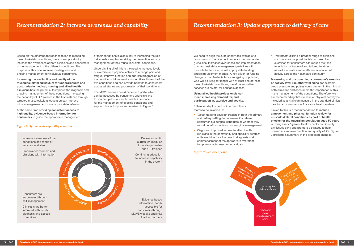# *Recommendation 2: Increase awareness and capability Recommendation 3: Update approach to delivery of care*

We need to align the suite of services available to consumers to the latest evidence and recommended guidelines. Increased awareness and implementation of musculoskeletal management guidelines will promote better care, as will appropriate funding and reimbursement models. A key driver for funding change is that Australia faces an ageing population, who will be living for longer with at least one of these musculoskeletal conditions, therefore subsidised services are pivotal for equitable access.

**Using allied health professionals can mean increasing demand for, and participation in, exercise and activity.** 

Enhanced deployment of interdisciplinary teams to be involved in:

• *Treatment:* utilising a broader range of clinicians such as exercise physiologists to prescribe exercises for consumers can reduce the time to initiation of targeted and tailored treatment as well as create a more efficient allocation of activity across the healthcare continuum

- *• Triage:* utilising physiotherapists in both the primary and tertiary setting, to determine if a referred consumer is a surgical candidate or whether they would benefit more from non-surgical management
- *• Diagnosis:* improved access to allied health clinicians in the community and specialty centres/ units would reduce the time to diagnosis and commencement of the appropriate treatment to optimise outcomes for individuals

**Measuring and documenting a consumer's exercise or activity level like other vital signs** (for example blood pressure and pulse) would cement in the mind of both clinicians and consumers the importance of this in the management of the conditions. Therefore, we are recommending that exercise or physical activity be included as a vital sign measure in the standard clinical care for all consumers in Australia's health system.

Linked to this is a recommendation to **include a movement and physical function review for musculoskeletal conditions as part of health checks for the Australian population aged 50 years or over, every 5 years.** Health checks can identify any issues early and promote a strategy to help consumers improve function and quality of life. Figure 9 presents a summary of the proposed changes.

#### *Figure 9: Delivery of care*



Based on the different approaches taken to managing musculoskeletal conditions, there is an opportunity to increase the awareness of both clinicians and consumers in the management of the different conditions. The purpose of this is to improve the diagnosis and ongoing management for individual consumers.

**Increasing the availability and quality of the musculoskeletal curriculum for undergraduate and postgraduate medical, nursing and allied health clinicians** has the potential to improve the diagnosis and ongoing management of these conditions. Increasing the capability of GP trainees in the first instance through targeted musculoskeletal education can improve initial management and more appropriate referrals.

At the same time providing **consistent access to high quality, evidence-based information for consumers** to guide the appropriate management of their conditions is also a key to increasing the role individuals can play in driving the prevention and comanagement of their musculoskeletal conditions.

Underpinning all of this is the need to increase levels of exercise and physical activity to manage pain and fatigue, improve function and address progression of the conditions. Movement is underutilised in each of the five conditions and can provide benefits to consumers across all stages and progression of their conditions.

The MOVE website could become a portal which can be accessed by consumers and clinicians to source up-to-date and credible information for the management of specific conditions and support this activity, as summarised in Figure 8.

#### *Figure 8: System wide capability activities*

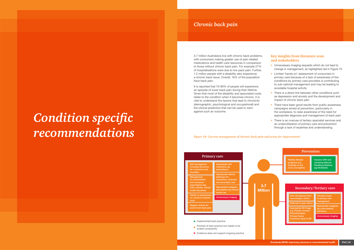3.7 million Australians live with chronic back problems, with consumers making greater use of pain-related medications and health care resources in comparison to those without chronic back pain. For example 27% of hospitalisations were due to low pack pain. Further, 1.2 million people with a disability also experience a chronic back issue. Overall, 16% of the population have back pain.

It is reported that 70-90% of people will experience an episode of lower back pain during their lifetime. Given that most of the disability and associated costs relate to the condition when it becomes chronic, it is vital to understand the factors that lead to chronicity (demographic, psychological and occupational) and the clinical predictors that can be used to warn against such an outcome.

## **Key insights from literature scan and stakeholders**

- Unnecessary imaging requests which do not lead to change in management, as highlighted red in Figure 10
- Limited 'hands on' assessment of consumers in primary care because of a lack of awareness of the conditions by primary care providers is contributing to sub-optimal management and may be leading to avoidable hospital activity
- There is a direct link between other conditions such as depression and anxiety and the development and impact of chronic back pain
- There have been good results from public awareness campaigns aimed at prevention, particularly in the workplace, to raise awareness of the need for appropriate diagnosis and management of back pain
- There is an overuse of tertiary specialist services and an underutilisation of primary care and prevention through a lack of expertise and understanding.

*Figure 10: Current management of chronic back pain and areas for improvement*



# *Chronic back pain*

# *Condition specific recommendations*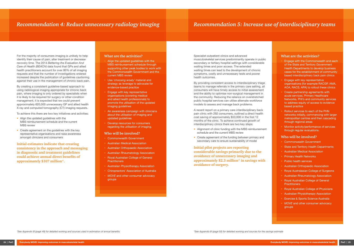# *Recommendation 5: Increase use of interdisciplinary teams*

Specialist outpatient clinics and advanced musculoskeletal services predominantly operate in public secondary or tertiary hospital settings with considerable waiting times and poor access. The extended waiting times can lead to the development of chronic symptoms, costly and unnecessary tests and poorer health outcomes.

By providing consistent access to interdisciplinary triage teams to manage referrals in the primary care setting, all consumers will have timely access to initial assessment and the ability to optimise non-surgical management in the community. Reducing the reliance on overstretched public hospital services can utilise alternate workforce models to assess and manage back problems.

- Alignment of clinic funding with the MBS reimbursement schedule and the current MBS review
- Create agreement of the funding between primary and secondary care to ensure sustainability of model

A recent report on a primary care interdisciplinary back pain clinic with 292 consumers, outlined a direct health cost saving of approximately \$53,000 in the first 12 months of the clinic. To achieve continued growth of interdisciplinary clinics there are two key steps:

**Initial pilot projects are reporting considerable savings primarily due to the avoidance of unnecessary imaging and approximately \$2.3 million\* in savings with avoidance of surgery.**

### **What are the activities?**

- Engage with the Commonwealth and each of the State and Territory Government Health Departments to develop business cases for the establishment of community based interdisciplinary back pain clinics
- Engage with key representative organisations (for example RACGP, AMA, AOA, RACS, APA) to rollout these clinics
- Create partnership agreements with acute services, Primary Healthcare Networks, PHI's and community services to address equity of access to evidence based practice
- Rollout services to each of the PHN networks initially, commencing with larger metropolitan centres and then cascading through regional areas
- Monitor activity/performance of services through regular evaluations.
- Align the updated guidelines with the MBS reimbursement schedule and the current MBS review
- Create agreement on the guidelines with the key representative organisations and raise awareness amongst clinicians and consumers

#### **Who will be involved?**

- Align the updated guidelines with the MBS reimbursement schedule through supporting other peak bodies to work with the Commonwealth Government and the current MBS review
- Use *'choosing wisely'* material and strategy as leverage to advocate for evidence-based practice
- Engage with key representative organisations (covering medical and allied health professionals) to promote the utilisation of the updated imaging guidelines
- An awareness campaign with clinicians about the utilisation of imaging and updated guidelines
- Develop resources for consumers regarding the utilisation of imaging.

- Commonwealth Government
- State and Territory Health Departments
- Australian Medical Association
- Primary Health Networks
- Public health services
- Australian Orthopaedic Association
- Royal Australasian College of Surgeons
- Australian Rheumatology Association
- Royal Australian College of General **Practitioners**
- Royal Australian College of Physicians
- Australian Physiotherapy Association
- Exercise & Sports Science Australia
- *• MOVE* and other consumer advocacy groups

For the majority of consumers imaging is unlikely to help identify their cause of pain, alter treatment or decrease recovery time. The 2014 *Bettering the Evaluation And Care of Health (BEACH)* data found that GPs and allied health practitioners account for over 80% of all imaging requests and that the number of investigations ordered increased despite the publication of guidelines cautioning against their use in the management of chronic back pain.

By creating a consistent guideline-based approach to using radiological imaging appropriate for chronic back pain, where imaging is only ordered by specialists when it is likely to be required for surgery or other condition management, it is expected that we could prevent approximately 620,000 unnecessary GP and allied health X-ray and computed tomography (CT) imaging requests.

To achieve this there are two key initiatives and activities:

## **Initial estimates indicate that creating consistency in the approach and messaging in diagnostic and treatment guidelines could achieve annual direct benefits of approximately \$107 million\*.**

## *Recommendation 4: Reduce unnecessary radiology imaging*

## **What are the activities?**

#### **Who will be involved?**

- Commonwealth Government
- Australian Medical Association
- Australian Orthopaedic Association
- Australian Rheumatology Association
- Royal Australian College of General **Practitioners**
- Australian Physiotherapy Association
- Chiropractors' Association of Australia
- *• MOVE* and other consumer advocacy groups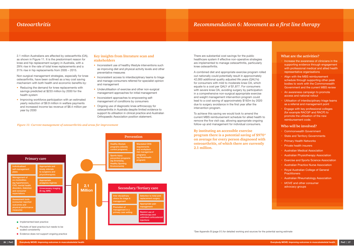There are substantial cost savings for the public healthcare system if effective non-operative strategies are implemented to manage osteoarthritis, particularly knee osteoarthritis.

A combined diet and appropriate exercise program rolled out nationally could potentially result in approximately 42,000 additional quality adjusted life years (QALYs) for consumers with mild to moderate knee OA, which equate to a cost per QALY of \$1,877. For consumers with severe knee OA, avoiding surgery by participation in a comprehensive non-surgical appropriate exercise and weight management intervention program could lead to a cost saving of approximately \$192m by 2020 due to surgery avoidance in the first year after the intervention program.

To achieve this saving we would look to amend the current MBS reimbursement schedule for allied health to remove the five visit cap, allowing appropriate ongoing follow-up and management for individual consumers.

**By instituting an accessible exercise program there is a potential saving of \$970\* on average for every person diagnosed with osteoarthritis, of which there are currently 2.1 million.**

- Reducing the demand for knee replacements with savings predicted at \$233 million by 2030 for the health system
- Improving workforce participation with an estimated yearly reduction of \$9.9 million in welfare payments and increased income tax revenue of \$8.4 million per year by 2030

## **What are the activities?** • Increase the awareness of clinicians in the supporting evidence through engagement with professional medical and allied health representative organisations Align with the MBS reimbursement schedule through supporting other peak bodies to work with the Commonwealth Government and the current MBS review • An awareness campaign to promote access and national rollout • Utilisation of interdisciplinary triage teams as a referral and management point • Engage with key professional colleges (for example RACGP and RACP) to promote the utilisation of the new reimbursement code. **Who will be involved?** • Commonwealth Government **State and Territory Governments Primary Health Networks** • Private health insurers • Australian Medical Association • Australian Physiotherapy Association • Exercise and Sports Science Association • Australian Practice Nurse Association • Royal Australian College of General **Practitioners** • Australian Rheumatology Association *• MOVE* and other consumer advocacy groups

- Inconsistent use of healthy lifestyle interventions such as improving diet and physical activity levels and other preventative measures
- Inconsistent access to interdisciplinary teams to triage and manage consumers referred for specialist opinion and management
- Underutilisation of exercise and other non-surgical management approaches for initial management
- Inconsistent approaches to empowering selfmanagement of conditions by consumers
- Ongoing use of diagnostic knee arthroscopy for osteoarthritis in Australia despite limited evidence to support its utilisation in clinical practice and Australian Orthopaedic Association position statement.

## *Osteoarthritis*

2.1 million Australians are affected by osteoarthritis (OA), as shown in Figure 11. It is the predominant reason for knee and hip replacement surgery in Australia, with a 29% rise in the rate of total knee replacements and a 31% rise in hip replacements from 2005 – 2015.

Non-surgical management strategies, especially for knee osteoarthritis, have been outlined as a key cost saving mechanism with both health and economic benefits by:

## **Key insights from literature scan and stakeholders**

#### *Figure 11: Current management of osteoarthritis and areas for improvement*

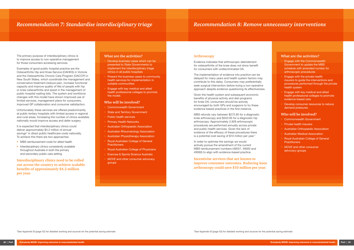## *Recommendation 8: Remove unnecessary interventions*

#### **Arthroscopy**

Evidence indicates that arthroscopic debridement for osteoarthritis of the knee does not show benefit for consumers with undiscriminated OA.

The implementation of evidence into practice can be delayed for many years and health system factors may contribute to this delay. Consumers may preferentially seek surgical intervention before trying a non-operative approach despite evidence questioning its effectiveness.

Given the health system and subsequent economic benefits of physical activity and diet programs for knee OA, consumers should be actively encouraged by both GPs and surgeons to try these evidence-based practices in the first instance.

MBS refunds vary between \$272.95 for a diagnostic knee arthroscopy and \$343.95 for a diagnostic hip arthroscopy. Approximately 2,928 arthroscopic procedures are performed annually across private and public health services. Given the lack of evidence of the efficacy of these procedures there is a potential cost saving of \$10 million per year.\*

In order to optimise the savings we would actively pursue the amendment of the current MBS reimbursement numbers (49557, 49563 and 49360) to align with evidence-based practice.

**Incentivise services that are known to improve consumer outcomes. Reducing knee arthroscopy could save \$10 million per year.**

It is expected that interdisciplinary clinics could deliver approximately \$4.2 million of annual savings<sup>\*</sup> in direct public healthcare costs nationally. To achieve this there are two approaches:

| <b>What are the activities?</b><br>Engage with the Commonwealth<br>Government to update the MBS<br>schedule with amended number for<br>arthroscopic procedures<br>Engage with the private health<br>insurers to guide the interventions and<br>health system<br>Engage with key medical and allied<br>٠<br>health professional colleges to promote<br>evidence-based care<br>Develop consumer resources to reduce<br>demand pressures.<br>Who will be involved?<br><b>Commonwealth Government</b><br>Private health insurers<br>$\bullet$<br><b>Australian Orthopaedic Association</b><br><b>Australian Medical Association</b><br>$\bullet$<br>Royal Australian College of General<br>$\bullet$<br><b>Practitioners</b><br>MOVE and other consumer<br>advocacy groups |
|------------------------------------------------------------------------------------------------------------------------------------------------------------------------------------------------------------------------------------------------------------------------------------------------------------------------------------------------------------------------------------------------------------------------------------------------------------------------------------------------------------------------------------------------------------------------------------------------------------------------------------------------------------------------------------------------------------------------------------------------------------------------|
| procedures performed through the private                                                                                                                                                                                                                                                                                                                                                                                                                                                                                                                                                                                                                                                                                                                               |
|                                                                                                                                                                                                                                                                                                                                                                                                                                                                                                                                                                                                                                                                                                                                                                        |
|                                                                                                                                                                                                                                                                                                                                                                                                                                                                                                                                                                                                                                                                                                                                                                        |
|                                                                                                                                                                                                                                                                                                                                                                                                                                                                                                                                                                                                                                                                                                                                                                        |
|                                                                                                                                                                                                                                                                                                                                                                                                                                                                                                                                                                                                                                                                                                                                                                        |
|                                                                                                                                                                                                                                                                                                                                                                                                                                                                                                                                                                                                                                                                                                                                                                        |
|                                                                                                                                                                                                                                                                                                                                                                                                                                                                                                                                                                                                                                                                                                                                                                        |
|                                                                                                                                                                                                                                                                                                                                                                                                                                                                                                                                                                                                                                                                                                                                                                        |
|                                                                                                                                                                                                                                                                                                                                                                                                                                                                                                                                                                                                                                                                                                                                                                        |
|                                                                                                                                                                                                                                                                                                                                                                                                                                                                                                                                                                                                                                                                                                                                                                        |
|                                                                                                                                                                                                                                                                                                                                                                                                                                                                                                                                                                                                                                                                                                                                                                        |
|                                                                                                                                                                                                                                                                                                                                                                                                                                                                                                                                                                                                                                                                                                                                                                        |
|                                                                                                                                                                                                                                                                                                                                                                                                                                                                                                                                                                                                                                                                                                                                                                        |
|                                                                                                                                                                                                                                                                                                                                                                                                                                                                                                                                                                                                                                                                                                                                                                        |
|                                                                                                                                                                                                                                                                                                                                                                                                                                                                                                                                                                                                                                                                                                                                                                        |
|                                                                                                                                                                                                                                                                                                                                                                                                                                                                                                                                                                                                                                                                                                                                                                        |
|                                                                                                                                                                                                                                                                                                                                                                                                                                                                                                                                                                                                                                                                                                                                                                        |
|                                                                                                                                                                                                                                                                                                                                                                                                                                                                                                                                                                                                                                                                                                                                                                        |
|                                                                                                                                                                                                                                                                                                                                                                                                                                                                                                                                                                                                                                                                                                                                                                        |
|                                                                                                                                                                                                                                                                                                                                                                                                                                                                                                                                                                                                                                                                                                                                                                        |
|                                                                                                                                                                                                                                                                                                                                                                                                                                                                                                                                                                                                                                                                                                                                                                        |
|                                                                                                                                                                                                                                                                                                                                                                                                                                                                                                                                                                                                                                                                                                                                                                        |
|                                                                                                                                                                                                                                                                                                                                                                                                                                                                                                                                                                                                                                                                                                                                                                        |
|                                                                                                                                                                                                                                                                                                                                                                                                                                                                                                                                                                                                                                                                                                                                                                        |
|                                                                                                                                                                                                                                                                                                                                                                                                                                                                                                                                                                                                                                                                                                                                                                        |
|                                                                                                                                                                                                                                                                                                                                                                                                                                                                                                                                                                                                                                                                                                                                                                        |
|                                                                                                                                                                                                                                                                                                                                                                                                                                                                                                                                                                                                                                                                                                                                                                        |

- MBS reimbursement code for allied health
- Interdisciplinary clinics consistently available throughout Australia in both the primary and secondary public care setting

## *Recommendation 7: Standardise interdisciplinary triage*

The primary purpose of interdisciplinary clinics is to improve access to non-operative management for those consumers accessing services.

Examples of good public hospital practice are the Osteoarthritis Hip and Knee Service (OAHKS) in Victoria and the Osteoarthritis Chronic Care Program (OACCP) in New South Wales, which coordinate the management and conservative treatment (reduce pain, increase functional capacity and improve quality of life) of people with hip or knee osteoarthritis and assist in the management of public hospital waiting lists. The system and workforce changes with this model have shown improved use of limited services, management plans for consumers, improved GP collaboration and consumer satisfaction.

Unfortunately these services are offered predominantly at public tertiary hospitals with limited access in regional and rural areas. Increasing the number of clinics available nationally would improve access and defer surgery.

**Interdisciplinary clinics need to be rolled out across the country to achieve scalable benefits of approximately \$4.2 million per year.**

#### **What are the activities?**

- Develop business cases which can be presented to State Governments to implement the interdisciplinary triage clinics in all public hospitals
- Present the business cases to community health services for implementation in suitable communities
- Engage with key medical and allied health professional colleges to promote the model.

#### **Who will be involved?**

- Commonwealth Government
- **State and Territory Government**
- Public health services
- **Primary Health Networks**
- Australian Orthopaedic Association
- Australian Rheumatology Association
- Australian Physiotherapy Association
- Royal Australian College of General **Practitioners**
- Royal Australian College of Physicians
- Exercise & Sports Science Australia
- *• MOVE* and other consumer advocacy groups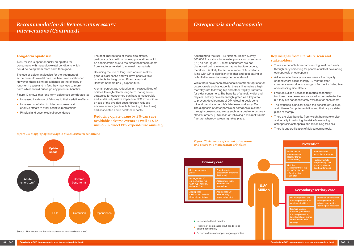According to the 2014-15 National Health Survey, 800,000 Australians have osteoporosis or osteopenia (OP) as per Figure 13. Most consumers are not diagnosed until a minimum trauma fracture occurs, therefore it is likely the actual number of Australians living with OP is significantly higher and cost saving of potential interventions may be understated.

While there have been advances in treatment options for osteoporosis and osteopenia, there still remains a high mortality rate following hip and other fragility fractures for older consumers. The benefits of a healthy diet and physical activity have been highlighted as a key area to prevent development of OP following peak bone mineral density in people's late teens and early 20's. The diagnosis of osteoporosis or osteopenia is either through screening radiology such as a dual-energy x-ray absorptiometry (DXA) scan or following a minimal trauma fracture, whereby screening takes place.

## **Key insights from literature scan and stakeholders**

- There are benefits from commencing treatment early through early screening for people at risk of developing osteoporosis or osteopenia
- Adherence to therapy is a key issue the majority of consumers cease therapy 12 months after commencement due to a range of factors including fear of developing side effects
- Fracture Liaison Services to reduce secondary fractures have been demonstrated to be cost-effective but they are not consistently available for consumers
- The evidence is unclear about the benefits of Calcium and Vitamin D supplementation and their appropriate place of therapy
- There are clear benefits from weight bearing exercise and activity in reducing the risk of developing osteoporosis/osteopenia and minimising falls risk
- There is underutilisation of risk screening tools.

nent and acture prevention in aged care facilities

Transition of consumer management to a primary care setting cluding GP resour

Vitamin D level creening programs

**Healthy lifestyle** programs (eg Girls programs <sub>(</sub>og c....<br>Make Your Move, Sporting Schools)

## **Million Recondary/Tertiary care**

#### *Figure 13: Summary of current osteoporosis and osteopenia management principles*

Fracture Liaison rvices (secondary cture prevention rdisciplinary tean as health car settings)

#### **Prevention**

Public health campaigns (eg Healthy Bones Action Week)

Self risk assessment tool (eq Know Your Bones calculator)

#### **Long-term opiate use**

\$589 million is spent annually on opiates for consumers with musculoskeletal conditions which could be doing them more harm than good.

The use of opiate analgesics for the treatment of acute musculoskeletal pain has been well established. However, there is limited evidence on the efficacy of long-term usage and in fact they may lead to more harm which would outweigh any potential benefits.

Figure 12 shows that long-term opiate use contributes to:

- Increased incidence of falls due to their sedative effects
- Increased confusion in older consumers and additive effects to other sedative medications
- Physical and psychological dependence



The cost implications of these side effects, particularly falls, with an ageing population could be considerable due to the direct healthcare costs from fractures related to minimal trauma falls.

Reducing the use of long-term opiates makes good clinical sense and will have positive flowon effects to the growing Pharmaceutical Benefits Scheme (PBS) expenditure.

A small percentage reduction in the prescribing of opiates through clearer long-term management strategies for consumers can have a measurable and sustained positive impact on PBS expenditure, on top of the avoided costs through reduced adverse events (such as falls leading to fractures) and associated acute healthcare costs.

**Reducing opiate usage by 2% can save avoidable adverse events as well as \$12 million in direct PBS expenditure annually.**

#### *Figure 12: Mapping opiate usage in musculoskeletal conditions*



Source: Pharmaceutical Benefits Scheme (Australian Government)

## *Recommendation 8: Remove unnecessary Osteoporosis and osteopenia interventions (Continued)*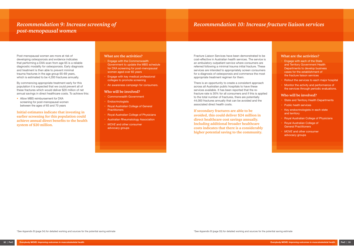# *Recommendation 10: Increase fracture liaison services*

Fracture Liaison Services have been demonstrated to be cost-effective in Australian health services. The service is an ambulatory outpatient service where consumers are referred following a minimal trauma initial fracture. These services are intended to appropriately screen consumers for a diagnosis of osteoporosis and commence the most appropriate treatment regimen for them.

There is an opportunity to create a consistent approach across all Australian public hospitals to have these services available. It has been reported that the refracture rate is 30% for all consumers and if this is applied to the total number of fractures, there are potentially 44,000 fractures annually that can be avoided and the associated direct health costs.

**If secondary fractures are able to be avoided, this could deliver \$24 million in direct healthcare cost savings annually. Including additional broader healthcare costs indicates that there is a considerably higher potential saving to the community.**

#### **What are the activities?**

• Allow MBS reimbursement for DXA screening for post-menopausal women between the ages of 65 and 70 years

- Engage with each of the State and Territory Government Health Departments to develop business cases for the establishment of the fracture liaison services
- Rollout the services to each major hospital
- Monitor the activity and performance of the services through periodic evaluations.

#### **Who will be involved?**

- State and Territory Health Departments
- Public heath services
- Key endocrinologists in each state and territory
- Royal Australian College of Physicians
- Royal Australian College of General Practitioners
- *• MOVE* and other consumer advocacy groups

Post-menopausal women are more at risk of developing osteoporosis and evidence indicates that performing a DXA scan from age 65 is a reliable diagnostic modality for osteoporosis. Early diagnosis and treatment is then able to prevent minimal trauma fractures in the age group 65-69 years, which is estimated to be 4,200 fractures annually.

By commencing appropriate treatment early for this population it is expected that we could prevent all of these fractures which would deliver \$20 million of net annual savings in direct healthcare costs. To achieve this:

**Initial estimates indicate that investing in earlier screening for this population could achieve annual direct benefits to the health system of \$20 million.**

## **What are the activities?**

- Engage with the Commonwealth Government to update the MBS schedule for DXA screening for post-menopausal women aged over 65 years
- Engage with key medical professional colleges to promote screening
- An awareness campaign for consumers.

#### **Who will be involved?**

- Commonwealth Government
- **Endocrinologists**
- Royal Australian College of General **Practitioners**
- Royal Australian College of Physicians
- Australian Rheumatology Association
- *• MOVE* and other consumer advocacy groups

## *Recommendation 9: Increase screening of post-menopausal women*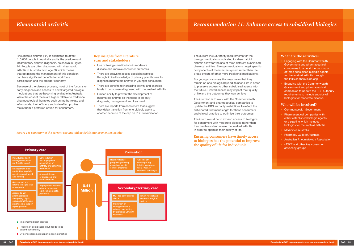The current PBS authority requirements for the biologic medications indicated for rheumatoid arthritis allow for the use of three different subsidised chemical entities. Biologic medications target specific components of the immune system rather than the broad effects of other more traditional medications.

For young consumers this may mean that they remain on one biologic beyond its useful life in order to preserve access to other subsidised agents into the future. Limited access may impact their quality of life and the outcomes they can achieve.

The intention is to work with the Commonwealth Government and pharmaceutical companies to update the PBS authority restrictions to reflect the anticipated treatment length for these consumers and clinical practice to optimise their outcomes.

The intent would be to expand access to biologics for consumers with moderate disease rather than treatment-resistant severe rheumatoid arthritis in order to optimise their quality of life.

## **Ensuring consumers have timely access to biologics has the potential to improve the quality of life for individuals.**

### **What are the activities?**

- Engaging with the Commonwealth Government and pharmaceutical companies to amend the maximum of three subsidised biologic agents for rheumatoid arthritis through the PBS so there is no cap
- Engaging with the Commonwealth Government and pharmaceutical companies to update the PBS authority requirements to include subsidy of biologics for moderate disease.

#### **Who will be involved?**

- Commonwealth Government
- Pharmaceutical companies with either established biologic agents or a pipeline which includes biologics for rheumatoid arthritis
- Medicines Australia
- Pharmacy Guild of Australia
- Australian Rheumatology Association
- *• MOVE* and other key consumer advocacy groups

#### *Figure 14: Summary of the current rheumatoid arthritis management principles*



- 
- Evidence does not support ongoing practice

Rheumatoid arthritis (RA) is estimated to affect 410,000 people in Australia and is the predominant inflammatory arthritis diagnosis, as shown in Figure 14. People are often diagnosed with rheumatoid arthritis in Australia from age 30 which means that optimising the management of this condition can have significant benefits for workforce participation and the broader economy.

Because of the disease process, most of the focus is on early diagnosis and access to novel targeted biologic medications that are becoming available in Australia. While the cost of these are higher relative to traditional pharmacological therapies such as methotrexate and leflunomide, their efficacy and side effect profiles make them a preferred option for consumers.

#### **Key insights from literature scan and stakeholders**

- Use of biologic medications in moderate disease can improve consumer outcomes
- There are delays to access specialist services through limited knowledge of primary practitioners to diagnose rheumatoid arthritis in younger consumers
- There are benefits to increasing activity and exercise levels in consumers diagnosed with rheumatoid arthritis
- Limited ability to prevent the development of rheumatoid arthritis so the focus is on early diagnosis, management and treatment
- There are reports from consumers that suggest they delay transition from one biologic agent to another because of the cap on PBS subsidisation.

# *Rheumatoid arthritis Recommendation 11: Enhance access to subsidised biologics*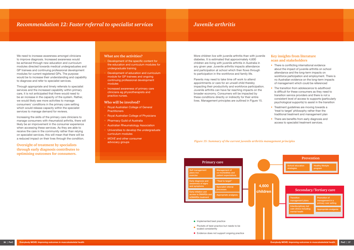## *Juvenile arthritis*

More children live with juvenile arthritis than with juvenile diabetes. It is estimated that approximately 4,600 children are living with juvenile arthritis in Australia in any given year. Juvenile arthritis impacts attendance and participation at school which then flows through to participation in the workforce and family life.

Parents may need to take time off work to attend appointments or care for an unwell child thereby impacting their productivity and workforce participation. Juvenile arthritis can have far reaching impacts on the broader economy. Consumers will be impacted by these conditions directly or indirectly for their entire lives. Management principles are outlined in Figure 15.

## **Key insights from literature scan and stakeholders**

- There is conflicting international evidence about the impact of juvenile arthritis on school attendance and the long-term impacts on workforce participation and employment. There is no Australian evidence on the long-term impacts of management which could be referenced
- The transition from adolescence to adulthood is difficult for these consumers as they need to transition service providers and there is not a consistent level of access to supports (particularly psychological supports) to assist in the transition
- Treatment guidelines are moving towards a 'treat to target' philosophy rather than the traditional treatment and management plan
- There are benefits from early diagnosis and access to specialist treatment services.

*Figure 15: Summary of the current juvenile arthritis management principles*



We need to increase awareness amongst clinicians to improve diagnosis. Increased awareness would be achieved through new education and curriculum modules directed towards medical undergraduates and GP trainees and continuing professional development modules for current registered GPs. The purpose would be to increase their understanding and capability to diagnose and refer to specialist services.

Through appropriate and timely referrals to specialist services and the increased capability within primary care, it is not anticipated that there would need to be an increase in the capacity of the system. Rather, we would likely see more activities to manage consumers' conditions in the primary care setting which would release capacity within the specialist services to manage demand for reviews.

Increasing the skills of the primary care clinicians to manage consumers with rheumatoid arthritis, there will likely be an improvement in the consumer experience when accessing these services. As they are able to receive the care in the community rather than relying on specialist services, this will mean that there will be a reduced impact on their lives through the condition.

## **Oversight of treatment by specialists through early diagnosis contributes to optimising outcomes for consumers.**

## *Recommendation 12: Faster referral to specialist services*

## **What are the activities?**

- Development of the specific content for the education and curriculum modules for undergraduate training
- Development of education and curriculum module for GP trainees and ongoing continuing professional development modules
- Increased awareness of primary care clinicians eg physiotherapists and practice nurses.

#### **Who will be involved?**

- Royal Australian College of General **Practitioners**
- Royal Australian College of Physicians
- Pharmacy Guild of Australia
- Australian Rheumatology Association
- Universities to develop the undergraduate curriculum modules
- *• MOVE* and other consumer advocacy groups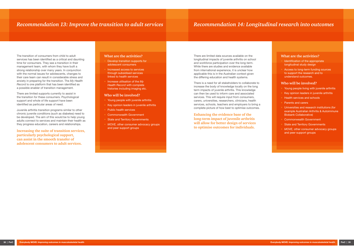## *Recommendation 14: Longitudinal research into outcomes*

There are limited data sources available on the longitudinal impacts of juvenile arthritis on school and workforce participation over the long-term. While there are studies and evidence available from international experience, it is unclear how applicable this is in the Australian context given the differing education and health systems.

There is a need for all stakeholders to collaborate to increase the body of knowledge locally on the long term impacts of juvenile arthritis. This knowledge can then be used to inform care and associated services. This will require input from consumers, carers, universities, researchers, clinicians, health services, schools, teachers and employers to bring a complete picture of how best to optimise outcomes.

**Enhancing the evidence base of the long-term impact of juvenile arthritis will allow for better design of services to optimise outcomes for individuals.**

#### **What are the activities?**

- Identification of the appropriate longitudinal study design
- Access to long-term funding sources to support the research and to understand outcomes.

### **Who will be involved?**

- Young people living with juvenile arthritis
- Key opinion leaders in juvenile arthritis
- Health services and schools
- Parents and carers
- Universities and research institutions (for example Australian Arthritis & Autoimmune Biobank Collaborative)
- Commonwealth Government
- **State and Territory Governments**
- *• MOVE,* other consumer advocacy groups and peer support groups
- Young people with juvenile arthritis
- Key opinion leaders in juvenile arthritis
- Public health services
- Commonwealth Government
- **State and Territory Governments**
- *• MOVE,* other consumer advocacy groups and peer support groups

The transition of consumers from child to adult services has been identified as a critical and daunting time for consumers. They see a transition in their management team, with whom they have built a strong relationship over many years. In conjunction with the normal issues for adolescents, changes to their care team can result in considerable stress and anxiety in preparing for the transition. The *My Health Record* is one platform that has been identified as a possible enabler of transition management.

There are limited supports currently to assist in the transition for these consumers. Psychological support and whole of life support have been identified as particular areas of need.

Juvenile arthritis transition programs similar to other chronic juvenile conditions (such as diabetes) need to be developed. The aim of this would be to help young adults connect to services and maintain their health as they progress education, careers and relationships.

**Increasing the suite of transition services, particularly psychological support, can assist in the smooth transfer of adolescent consumers to adult services.**

## *Recommendation 13: Improve the transition to adult services*

#### **What are the activities?**

- Develop transition supports for adolescent consumers
- Increased access to services through subsidised services linked to health services
- Increase utilisation of the *My Health Record* with complete histories including imaging etc.

#### **Who will be involved?**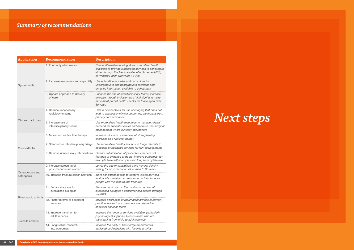# *Summary of recommendations*

| <b>Application</b>             | Recommendation                                    | <b>Description</b>                                                                                                                                                                                        |  |  |
|--------------------------------|---------------------------------------------------|-----------------------------------------------------------------------------------------------------------------------------------------------------------------------------------------------------------|--|--|
|                                | 1. Fund only what works                           | Create alternative funding streams for allied health<br>clinicians to provide subsidised services to consumers,<br>either through the Medicare Benefits Scheme (MBS)<br>or Primary Health Networks (PHNs) |  |  |
| System wide                    | 2. Increase awareness and capability              | Use education modules and curriculum for<br>undergraduate and postgraduate clinicians and<br>enhance information available to consumers                                                                   |  |  |
|                                | 3. Update approach to delivery<br>of care         | Enhance the use of interdisciplinary teams, increase<br>exercise through inclusion as a 'vital sign' and make<br>movement part of health checks for those aged over<br>50 years                           |  |  |
|                                | 4. Reduce unnecessary<br>radiology imaging        | Create disincentives for use of imaging that does not<br>lead to changes in clinical outcomes, particularly from<br>primary care providers                                                                |  |  |
| Chronic back pain              | 5. Increase use of<br>interdisciplinary teams     | Use more allied health resources to manage referral<br>demand for specialist clinics and optimise non-surgical<br>management where clinically appropriate                                                 |  |  |
|                                | 6. Movement as first line therapy                 | Increase clinicians' awareness of strengthening<br>exercises as a first line therapy                                                                                                                      |  |  |
| Osteoarthritis                 | 7. Standardise interdisciplinary triage           | Use more allied health clinicians to triage referrals to<br>specialist orthopaedic services for joint replacements                                                                                        |  |  |
|                                | 8. Remove unnecessary interventions               | Restrict subsidisation of procedures that are not<br>founded in evidence or do not improve outcomes, for<br>example knee arthroscopies and long term opiate use                                           |  |  |
|                                | 9. Increase screening of<br>post-menopausal women | Lower the age of subsidised bone mineral density<br>testing for post-menopausal women to 65 years                                                                                                         |  |  |
| Osteoporosis and<br>osteopenia | 10. Increase fracture liaison services            | More consistent access to fracture liaison services<br>in all public hospitals to reduce second fractures for<br>people with minimal trauma fractures                                                     |  |  |
| Rheumatoid arthritis           | 11. Enhance access to<br>subsidised biologics     | Remove restriction on the maximum number of<br>subsidised biologics a consumer can access through<br>the PBS                                                                                              |  |  |
|                                | 12. Faster referral to specialist<br>services     | Increase awareness of rheumatoid arthritis in primary<br>practitioners so that consumers are referred to<br>specialist services faster                                                                    |  |  |
| Juvenile arthritis             | 13. Improve transition to<br>adult services       | Increase the range of services available, particularly<br>psychological supports, to consumers who are<br>transitioning from child to adult services                                                      |  |  |
|                                | 14. Longitudinal research<br>into outcomes        | Increase the body of knowledge on outcomes<br>achieved by Australians with juvenile arthritis                                                                                                             |  |  |

# *Next steps*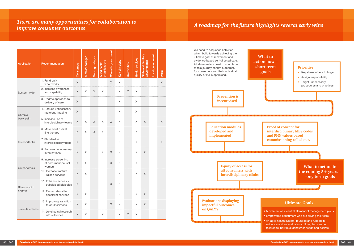| <b>Application</b>      | Recommendation                                       | Consumers                 | Medical colleges | Nursing colleges | organisations<br><b>Allied</b> health | C'wealth government | <b>Key clinicians</b> | Universities | <b>Health services</b> | State and Territory<br>Governments | Local government | <b>PHNs</b> |
|-------------------------|------------------------------------------------------|---------------------------|------------------|------------------|---------------------------------------|---------------------|-----------------------|--------------|------------------------|------------------------------------|------------------|-------------|
|                         | 1. Fund only<br>what works                           | X                         |                  |                  |                                       | $\times$            | X                     |              |                        |                                    |                  | X           |
| System-wide             | 2. Increase awareness<br>and capability              | Χ                         | $\times$         | $\times$         | X                                     |                     | X                     | $\times$     | $\mathsf{X}$           |                                    |                  |             |
|                         | 3. Update approach to<br>delivery of care            | Χ                         |                  |                  |                                       |                     | X                     |              | X                      |                                    |                  |             |
| Chronic                 | 4. Reduce unnecessary<br>radiology imaging           | $\mathsf X$               |                  |                  |                                       |                     | X                     |              | $\times$               |                                    |                  |             |
| back pain               | 5. Increase use of<br>interdisciplinary teams        | Χ                         | $\times$         | X                | X                                     | X                   | X                     |              | $\mathsf X$            | $\times$                           |                  | X           |
|                         | 6. Movement as first<br>line therapy                 | X                         | X                | $\times$         | X                                     |                     | X                     |              | X                      |                                    |                  |             |
| Osteoarthritis          | 7. Standardise<br>interdisciplinary triage           | Χ                         |                  |                  |                                       |                     | $\sf X$               |              | $\times$               |                                    |                  | $\times$    |
|                         | 8. Remove unnecessary<br>interventions               | Χ                         | $\mathsf X$      |                  | X                                     | X                   | X                     |              | $\mathsf X$            | $\mathsf X$                        |                  |             |
|                         | 9. Increase screening<br>of post-menopausal<br>women | X                         | $\mathsf X$      |                  |                                       | X                   | X                     |              | X                      |                                    |                  |             |
| Osteoporosis            | 10. Increase fracture<br>liaison services            | $\boldsymbol{\mathsf{X}}$ | $\mathsf X$      |                  |                                       |                     | $\mathsf X$           |              | $\mathsf X$            | $\mathsf X$                        |                  |             |
| Rheumatoid<br>arthritis | 11. Enhance access to<br>subsidised biologics        | Χ                         |                  |                  |                                       | $\mathsf X$         | $\mathsf X$           |              |                        |                                    |                  |             |
|                         | 12. Faster referral to<br>specialist services        | $\mathsf X$               | X                |                  |                                       |                     | $\times$              |              | X                      | $\mathsf X$                        |                  |             |
| Juvenile arthritis      | 13. Improving transition<br>to adult services        | Χ                         | $\times$         |                  |                                       | $\mathsf X$         | $\times$              |              | $\mathsf X$            | $\mathsf X$                        |                  |             |
|                         | 14. Longitudinal research<br>into outcomes           | $\mathsf X$               | $\mathsf X$      |                  | X                                     |                     | X                     | $\mathsf X$  | X                      |                                    |                  |             |

## *There are many opportunities for collaboration to i i*e *die indity opportunities for conduction to*<br>*A roadmap for the future highlights several early wins*<br>improve consumer outcomes

which build towards achieving the ultimate goal of movement and evidence-based self-directed care. All stakeholders need to contribute to this journey so that outcomes for consumers and their individual quality of life is optimised.







• An agile health system, founded and funded in evidence and an evaluation culture, that can be tailored to individual consumer needs and desires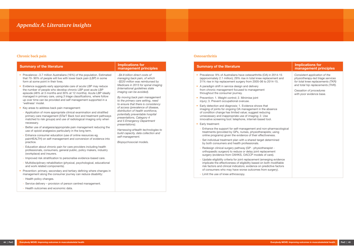| <b>Summary of the literature</b>                                                                                                                                                                                                                                                                                                                 | <b>Implications for</b><br>management principles                                                                                                                          |
|--------------------------------------------------------------------------------------------------------------------------------------------------------------------------------------------------------------------------------------------------------------------------------------------------------------------------------------------------|---------------------------------------------------------------------------------------------------------------------------------------------------------------------------|
| • Prevalence:~3.7 million Australians (16%) of the population. Estimated<br>that 70- 90% of people will live with lower back pain (LBP) in some<br>form at some point in their lives.                                                                                                                                                            | ~\$4.8 billion direct costs of<br>managing back pain, of which<br>~\$220 million was reimbursed by                                                                        |
| Evidence suggests early appropriate care of acute LBP may reduce<br>the number of people who develop chronic LBP post acute LBP<br>episode (48% at 3 months and 30% at 12 months). Acute LBP ideally<br>managed in primary care, using 3 triage classifications, where follow<br>up over time can be provided and self management supported in a | Medicare in 2013 for spinal imaging<br>(international guidelines state<br>imaging can be avoided).<br>By moving back pain management<br>to the primary care setting, need |
| 'wellness' model.<br>Key areas to address back pain management:                                                                                                                                                                                                                                                                                  | to ensure that there is consistency<br>of access (prevalence of disease,                                                                                                  |
| - Application of more appropriate clinical examination and stratified<br>primary care management (STarT Back tool and treatment pathways<br>matched to risk groups) and use of radiological imaging only when<br>necessary.                                                                                                                      | distribution of health workforce,<br>potentially preventable hospital<br>presentations, Category 4<br>and 5 Emergency Department<br>presentations).                       |
| Better use of analgesia/appropriate pain management reducing the<br>$\equiv$<br>use of opioid analgesics particularly in the long term.                                                                                                                                                                                                          | Harnessing eHealth technologies to                                                                                                                                        |
| - Enhance consumer education (use of online resources eg.<br>painHEALTH) on self-management and conversion of evidence into<br>practice.                                                                                                                                                                                                         | build capacity, data collection and<br>self-management.<br>Biopsychosocial models.                                                                                        |
| Education about chronic pain for care providers including health<br>$\equiv$<br>professionals, consumers, general public, policy makers, industry<br>(workplace) and insurers.                                                                                                                                                                   |                                                                                                                                                                           |
| - Improved risk stratification to personalise evidence-based care.                                                                                                                                                                                                                                                                               |                                                                                                                                                                           |
| - Multidisciplinary rehabilitation (physical, psychological, educational<br>and work related components).                                                                                                                                                                                                                                        |                                                                                                                                                                           |
| • Prevention: primary, secondary and tertiary defining where changes in<br>management along the consumer journey can reduce disability:                                                                                                                                                                                                          |                                                                                                                                                                           |
| - Health policy changes.                                                                                                                                                                                                                                                                                                                         |                                                                                                                                                                           |
| - Service delivery - provision of person centred management.                                                                                                                                                                                                                                                                                     |                                                                                                                                                                           |
| - Health outcomes and economic data.                                                                                                                                                                                                                                                                                                             |                                                                                                                                                                           |

## **Summary of the literature**

- Prevalence: 9% of Australians have osteoarthritis (OA) (approximately 2.1 million);  $29\%$  rise in total knee replace 31% rise in hip replacement surgery from 2005-06 to
- A paradigm shift in service design and delivery from chronic management focused to management throughout the consumer journey.
- Prevention: 1. Weight control; 2. Minimise joint injury; 3. Prevent occupational overuse.
- Early detection and diagnosis: 1. Evidence shows that imaging of joints for ongoing OA management in the al of condition change has limited value; suggest reducing unnecessary and inappropriate use of imaging; 2. Use innovative screening tool: telephone, internet-based to
- Early treatment:
- Enhance the support for self-management and nontreatments (provided by GPs, nurses, physiotherapis online programs) given the evidence of their effective
- Set individual treatment plan with a shared target de by both consumers and health professionals.
- Redesign clinical surgery pathway (GP physiothera orthopaedic surgeon) to reduce or delay joint replace surgery (evidence from OAHKS, OACCP models of
- Update eligibility criteria for joint replacement (emerging implicate the effectiveness of eligibility based on bot risk factors and clinical indicators; evidence on pred of consumers who may have worse outcomes from
- Limit the use of knee arthroscopy.

| <b>Implications for</b><br>management principles                                                                                             |
|----------------------------------------------------------------------------------------------------------------------------------------------|
| Consistent application of the<br>physiotherapy-led triage services<br>for total knee replacements (TKR)<br>and total hip replacements (THR). |
| Cessation of procedures<br>with poor evidence base.                                                                                          |
|                                                                                                                                              |
|                                                                                                                                              |
|                                                                                                                                              |
|                                                                                                                                              |
|                                                                                                                                              |

### **Chronic back pain Osteoarthritis**

# *Appendix A: Literature insights*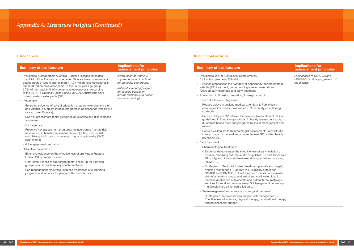| <b>Summary of the literature</b>                                                                                                                                                                                                                                                                                                                                                                                                                                                                                                           | <b>Implications for</b><br>management principles                                                                                                                                                    |
|--------------------------------------------------------------------------------------------------------------------------------------------------------------------------------------------------------------------------------------------------------------------------------------------------------------------------------------------------------------------------------------------------------------------------------------------------------------------------------------------------------------------------------------------|-----------------------------------------------------------------------------------------------------------------------------------------------------------------------------------------------------|
| • Prevalence: Osteoporosis Australia Burden if Disease estimates<br>that 4.74 million Australians, aged over 50 years have osteopenia or<br>osteoporosis of whom approximately 1.04 million have osteoporosis<br>and 3.70 million have osteopenia. In the 65-69 year age group<br>5.7% of men and 24% of women have osteoporosis. According<br>to the 2014-15 National Health Survey, 800,000 Australians have<br>osteoporosis or osteopenia (OP).<br>• Prevention:<br>- Emerging evidence of school education program (exercise and diet) | Introduction of vitamin D<br>supplementation in schools<br>for particular age groups.<br>National screening program<br>for specific population<br>groups (analogous to breast<br>cancer screening). |
| and vitamin D supplementation programs in adolescence (female<18<br>years; male<20 years);<br>- Self risk assessment tools; guidelines on exercise and diet; increase<br>awareness.                                                                                                                                                                                                                                                                                                                                                        |                                                                                                                                                                                                     |
| • Early diagnosis:                                                                                                                                                                                                                                                                                                                                                                                                                                                                                                                         |                                                                                                                                                                                                     |
| - Proactive risk assessment programs: (a) Incorporate fracture risk<br>assessment in health assessment checks; (b) Use fracture risk<br>calculators; (c) Expand dual energy x ray absorptiometry (DXA)<br>scan criteria;                                                                                                                                                                                                                                                                                                                   |                                                                                                                                                                                                     |
| - GP engagement programs.                                                                                                                                                                                                                                                                                                                                                                                                                                                                                                                  |                                                                                                                                                                                                     |
| • Refracture prevention:                                                                                                                                                                                                                                                                                                                                                                                                                                                                                                                   |                                                                                                                                                                                                     |
| - Extensive evidence on the effectiveness of applying a Fracture<br>Liaison Officer model of care;                                                                                                                                                                                                                                                                                                                                                                                                                                         |                                                                                                                                                                                                     |
| - Cost-effectiveness of supporting dental check-up for high-risk<br>groups prior to oral bisphosphonate treatment;                                                                                                                                                                                                                                                                                                                                                                                                                         |                                                                                                                                                                                                     |
| - Self-management resources, increase awareness of supporting<br>programs and services for people with osteoporosis.                                                                                                                                                                                                                                                                                                                                                                                                                       |                                                                                                                                                                                                     |

- Prevalence: 2% of Australians, approximately 0.41 million people in 2014-15.
- $\bullet$  Evidence emphasises the "window of opportunity" for arthritis (RA) treatment, correspondingly, recommendations focus on early diagnosis and early treatment.
- Prevention: 1. Smoking cessation; 2. Weight control.
- Early detection and diagnosis:
- Reduce delays in seeking medical attention: 1. Publi campaigns to increase awareness; 2. Community ca strategies.
- Reduce delays in GP referral: Increase implementati guidelines: 1. Education programs; 2. Handy assess 3. Internet-based tools and programs to assist mana referral.
- Reduce waiting list to rheumatologist assessment: E clinics, triage by rheumatology nurse, trained GP or professionals.
- Early treatment:
- Pharmacological treatment:
- o Evidence demonstrates the effectiveness of early disease-modifying anti-rheumatic drug (DMARD) RA subtypes, biological disease-modifying anti-rh (bDMARD).
- o Strategies: 1. Set individualised treatment plan (treat ongoing monitoring); 2. Update PBS eligibility crite DMARD and bDMARD; 3. Limit long-term use of no anti-inflammatory drugs, analgesics and corticoste Increase application of telehealth and outreach rhe services for rural and remote areas; 5. Management multidisciplinary clinic; nurse-led care.
- Self-management and non-pharmacological treatme
- Strategies: 1. Interventions to support self-manage Effectiveness of exercise, physical therapy, occupational therapy and psychosocial support.

|                                                                                           | <b>Implications for</b><br>management principles                             |
|-------------------------------------------------------------------------------------------|------------------------------------------------------------------------------|
| r rheumatoid<br>ations                                                                    | Early access to DMARDs and<br>bDMARDs to slow progression of<br>the disease. |
| lic health<br>ase-finding                                                                 |                                                                              |
| ion of clinical<br>sment tools;<br>agement and                                            |                                                                              |
| Early arthritis<br>allied health                                                          |                                                                              |
| initiation of<br>and, for certain<br>eumatic drug                                         |                                                                              |
| eat to target,<br>eria for<br>าon-steroidal<br>eroids; 4.<br>eumatology<br>nt: 'one-stop' |                                                                              |
| ent:<br>ement; 2.<br>ational therapy                                                      |                                                                              |

## **Osteoporosis Rheumatoid arthritis**

## **Summary of the literature**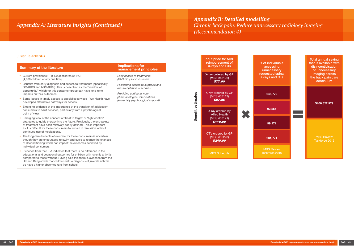| <b>Implications for</b><br><b>Summary of the literature</b><br>management principles                                                                                                                                                                                                                                                                                 |
|----------------------------------------------------------------------------------------------------------------------------------------------------------------------------------------------------------------------------------------------------------------------------------------------------------------------------------------------------------------------|
| • Current prevalence: 1 in 1,000 children (0.1%)<br>Early access to treatments<br>(4,600 children at any one time).<br>(DMARDs) for consumers.                                                                                                                                                                                                                       |
| • Benefits from early diagnosis and access to treatments (specifically<br>Facilitating access to supports and<br>DMARDS and bDMARDs). This is described as the "window of<br>aids to optimise outcomes.<br>opportunity" which for this consumer group can have long-term<br>Providing additional non-<br>impacts on their outcomes.<br>pharmacological interventions |
| • Some issues in timely access to specialist services - WA Health have<br>(especially psychological support).<br>developed alternative pathways for access.                                                                                                                                                                                                          |
| Emerging evidence of the importance of the transition of adolescent<br>consumers to adult services, particularly from a psychological<br>point of view.                                                                                                                                                                                                              |
| Emerging view of the concept of 'treat to target' or 'tight control'<br>strategies to guide therapy into the future. Previously, the end-points<br>of treatment have been relatively poorly defined. This is important<br>as it is difficult for these consumers to remain in remission without<br>continued use of medications.                                     |
| • The long-term benefits of exercise for these consumers is uncertain<br>though they are encouraged to swim and cycle to reduce the chances<br>of deconditioning which can impact the outcomes achieved by<br>individual consumers.                                                                                                                                  |
| Evidence from the USA indicates that there is no difference in the<br>educational and vocational outcomes for children with juvenile arthritis<br>compared to those without. Having said this there is evidence from the<br>UK and Bangladesh that children with a diagnosis of juvenile arthritis<br>do have a higher absentee rate from school.                    |



#### **Juvenile arthritis**

Input price for MBS



*Appendix B: Detailed modelling Chronic back pain: Reduce unnecessary radiology imaging (Recommendation 4)*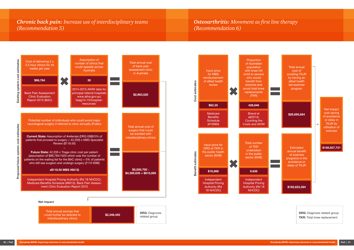## *Chronic back pain: Increase use of interdisciplinary teams (Recommendation 5)*



-----------------------------

*Osteoarthritis: Movement as first line therapy (Recommendation 6)*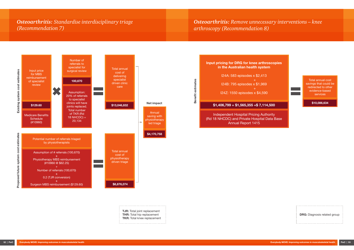## *Osteoarthritis: Standardise interdisciplinary triage (Recommendation 7)*

**TJR:** Total joint replacement **THR:** Total hip replacement **TKR:** Total knee replacement

------------------------



**DRG:** Diagnosis related group



*Osteoarthritis: Remove unnecessary interventions – knee arthroscopy (Recommendation 8)*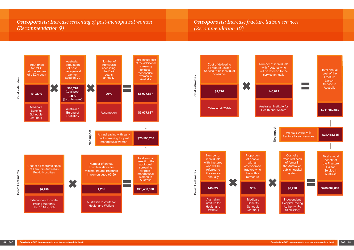## *Osteoporosis: Increase screening of post-menopausal women (Recommendation 9)*

*Osteoporosis: Increase fracture liaison services (Recommendation 10)*

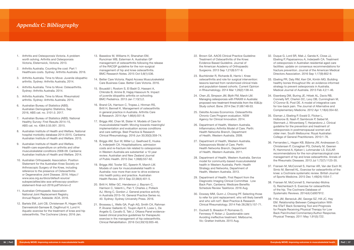# *Appendix C: Bibliography*

- 1. Arthritis and Osteoporosis Victoria. A problem worth solving. Arthritis and Osteoporosis Victoria, Elsternwick, Victoria. 2013.
- 2. Arthritis Australia. Counting the cost: Part 1 Healthcare costs. Sydney: Arthritis Australia. 2016.
- 3. Arthritis Australia. Time to Move: Juvenile idiopathic arthritis. Sydney: Arthritis Australia, 2014.
- 4. Arthritis Australia. Time to Move: Osteoarthritis. Sydney: Arthritis Australia. 2014.
- 5. Arthritis Australia. Time to Move: Rheumatoid arthritis. Sydney: Arthritis Australia. 2014.
- 6. Australian Bureau of Statistics (ABS). Australian Demographic Statistics, Sep 2016, ABS cat. no. 3101.0. 2017.
- 7. Australian Bureau of Statistics (ABS). National Healthy Survey: First Results 2014–15, ABS cat. no. 4364.0.55.001. 2015.
- 8. Australian Institute of Health and Welfare. National hospital morbidity database 2014-2015. Canberra: Australian Institute of Health and Welfare. 2015.
- 9. Australian Institute of Health and Welfare. Health-care expenditure on arthritis and other musculoskeletal conditions 2008-09. Canberra: Australian Institute of Health and Welfare. 2014.
- 10. Australian Orthopaedic Association. Position Statement for the Australian Knee Society on Arthroscopic Surgery of the Knee, including reference to the presence of Osteoarthritis or Degenerative Joint Disease. 2016. https:// www.aoa.org.au/docs/default-source/ subspecialties/aks-aoa-arthoscopy-positionstatement-final-oct-2016.pdf?sfvrsn=2
- 11. Australian Orthopaedic Association National Joint Replacement Registry. Annual Report. Adelaide: AOA. 2016.
- 12. Bartels EM, Juhl CB, Christensen R, Hagen KB, Danneskiold-Samsøe B, Dagfinrud H, Lund H. Aquatic exercise for the treatment of knee and hip osteoarthritis. The Cochrane Library. 2016 Jan.
- 13. Basedow M, Williams H, Shanahan EM, Runciman WB, Esterman A. Australian GP management of osteoarthritis following the release of the RACGP guideline for the non-surgical management of hip and knee osteoarthritis. BMC Research Notes. 2015 Oct 5;8(1):536.
- 14. Better Care Victoria. Rapid Access Musculoskeletal Care Business Case. Better Care Victoria. 2016.
- 15. Bouaddi I, Rostom S, El Badri D, Hassani A, Chkirate B, Amine B, Hajjaj-Hassouni N. Impact of juvenile idiopathic arthritis on schooling. BMC Pediatrics. 2013 Jan 7;13(1):2.
- 16. Brand CA, Harrison C, Tropea J, Hinman RS, Britt H, Bennell K. Management of osteoarthritis in general practice in Australia. Arthritis Care & Research. 2014 Apr 1;66(4):551-8.
- 17. Briggs AM, Chan M, Slater H. Models of Care for musculoskeletal health: Moving towards meaningful implementation and evaluation across conditions and care settings. Best Practice & Research Clinical Rheumatology. 2016 Jun 30;30(3):359-74.
- 18. Briggs AM, Sun W, Miller LJ, Geelhoed E, Huska A, Inderjeeth CA. Hospitalisations, admission costs and re-fracture risk related to osteoporosis in Western Australia are substantial: a 10 year review. Australian and New Zealand Journal of Public Health. 2015 Dec 1;39(6):557-62.
- 19. Briggs AM, Towler SC, Speerin R, March LM. Models of care for musculoskeletal health in Australia: now more than ever to drive evidence into health policy and practice. Australian Health Review. 2014 Sep 22;38(4):401-5.
- 20. Britt H, Miller GC, Henderson J, Bayram C, Harrison C, Valenti L, Pan Y, Charles J, Pollack AJ, Wong C, Gordon J. General practice activity in Australia 2015–16. General Practice Series no. 40. Sydney: Sydney University Press. 2016.
- 21. Brosseau L, Wells GA, Pugh AG, Smith CA, Rahman P, Àlvarez Gallardo IC, Toupin-April K, Loew L, De Angelis G, Cavallo S, Taki J. Ottawa Panel evidencebased clinical practice guidelines for therapeutic exercise in the management of hip osteoarthritis. Clinical Rehabilitation. 2016 Oct;30(10):935-46.
- 22. Brown GA. AAOS Clinical Practice Guideline: Treatment of Osteoarthritis of the Knee: Evidence Based Guideline. Journal of the American Academy of Orthopaedic Surgeons. 2013 Sep 1;21(9):577-9.
- 23. Buchbinder R, Richards B, Harris I. Knee osteoarthritis and role for surgical intervention: lessons learned from randomized clinical trials and population-based cohorts. Current Opinion in Rheumatology. 2014 Mar 1;26(2):138-44.
- 24. Chen JS, Simpson JM, Blyth FM, March LM. Managing osteoporosis with FRAX® in Australia: proposed new treatment thresholds from the 45&Up Study cohort. Bone. 2014 Dec 31;69:148-53.
- 25. Deloitte Access Economics. Osteoarthritis Chronic Care Program evaluation. NSW Agency for Clinical Innovation. 2014.
- 26. Department of Health, Western Australia. Inflammatory Arthritis Model of Care. Perth: Health Networks Branch, Department of Health, Western Australia. 2009.
- 27. Department of Health, Western Australia. Osteoporosis Model of Care. Perth: Health Networks Branch, Department of Health, Western Australia. 2011.
- 28. Department of Health, Western Australia. Service model for community-based musculoskeletal health in Western Australia. Perth: Health Strategy and Networks, Department of Health, Western Australia. 2013.
- 29. Department of Health. First Report from the Diagnostic Imaging Clinical Committee ‐ Low Back Pain. Canberra: Medicare Benefits Schedule Review Taskforce. 2016 Aug.
- 30. Dowsey MM, Gunn J, Choong PF. Selecting those to refer for joint replacement: who will likely benefit and who will not?. Best Practice & Research Clinical Rheumatology. 2014 Feb 28;28(1):157-71.
- 31. Duckett S, Breadon P, Romanes D, Fennessy P, Nolan J. Questionable care: Avoiding ineffective treatment. Melbourne, Vic: Grattan Institute. 2015 Aug.
- 32. Duque G, Lord SR, Mak J, Ganda K, Close JJ, Ebeling P, Papaioannou A, Inderjeeth CA. Treatment of osteoporosis in Australian residential aged care facilities: update on consensus recommendations for fracture prevention. Journal of the American Medical Directors Association. 2016 Sep 1;17(9):852-9.
- 33. Ebeling PR, Daly RM, Kerr DA, Kimlin MG. Building healthy bones throughout life: an evidence-informed strategy to prevent osteoporosis in Australia. Medical Journal of Australia. 2013 Feb 4;2:1-46.
- 34. Eisenberg DM, Buring JE, Hrbek AL, Davis RB, Connelly MT, Cherkin DC, Levy DB, Cunningham M, O'Connor B, Post DE. A model of integrative care for low-back pain. The Journal of Alternative and Complementary Medicine. 2012 Apr 1;18(4):354-62.
- 35. Eisman J, Ebeling P, Ewald D, Flicker L, Holborow B, Nash P, Sambrook P, Seibel M, Stenmark J, Winzenberg T, Herjandono J. Clinical guideline for the prevention and treatment of osteoporosis in postmenopausal women and older men. South Melbourne: Royal Australian College of General Practitioners. 2010:1-76.
- 36. Fernandes L, Hagen KB, Bijlsma JW, Andreassen O, Christensen P, Conaghan PG, Doherty M, Geenen R, Hammond A, Kjeken I, Lohmander LS. EULAR recommendations for the non-pharmacological core management of hip and knee osteoarthritis. Annals of the Rheumatic Diseases. 2013 Jul 1;72(7):1125-35.
- 37. Fransen M, McConnell S, Harmer AR, Van der Esch M, Simic M, Bennell KL. Exercise for osteoarthritis of the knee: a Cochrane systematic review. British Journal of Sports Medicine. 2015 Dec 1;49(24):1554-7.
- 38. Fransen M, McConnell S, Hernandez-Molina G, Reichenbach S. Exercise for osteoarthritis of the hip. The Cochrane Database of Systematic Reviews. 2014(4):Cd007912.
- 39. Fritz JM, Beneciuk JM, George SZ, Hill JC, Hay EM. Relationship Between Categorization With the STarT Back Screening Tool and Prognosis for People Receiving Physical Therapy for Low Back Pain/Invited Commentary/Author Response. Physical Therapy. 2011 May 1;91(5):722.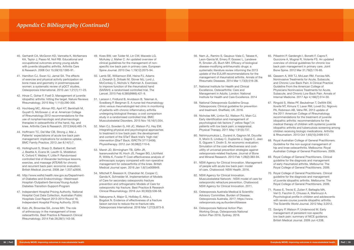- 40. Gerhardt CA, McGoron KD, Vannatta K, McNamara KA, Taylor J, Passo M, Noll RB. Educational and occupational outcomes among young adults with juvenile idiopathic arthritis. Arthritis Care & Research. 2008 Oct 15;59(10):1385-91.
- 41. Hamilton CJ, Swan VJ, Jamal SA. The effects of exercise and physical activity participation on bone mass and geometry in postmenopausal women: a systematic review of pQCT studies. Osteoporosis International. 2010 Jan 1;21(1):11-23.
- 42. Hinze C, Gohar F, Foell D. Management of juvenile idiopathic arthritis: hitting the target. Nature Reviews Rheumatology. 2015 May 1;11(5):290-300.
- 43. Hochberg MC, Altman RD, April KT, Benkhalti M, Guyatt G, McGowan J, et al. American College of Rheumatology 2012 recommendations for the use of nonpharmacologic and pharmacologic therapies in osteoarthritis of the hand, hip, and knee. Arthritis Care & Research. 2012;64(4):465-74.
- 44. Hoffmann TC, Del Mar CB, Strong J, Mai J. Patients' expectations of acute low back pain management: implications for evidence uptake. BMC Family Practice. 2013 Jan 8;14(1):7.
- 45. Hollinghurst S, Sharp D, Ballard K, Barnett J, Beattie A, Evans M, Lewith G, Middleton K, Oxford F, Webley F, Little P. Randomised controlled trial of Alexander technique lessons, exercise, and massage (ATEAM) for chronic and recurrent back pain: economic evaluation. British Medical Journal. 2008 Jan 1;337:a2656.
- 46. http://www.wslhd.health.nsw.gov.au/Departmentof-Diabetes-and-Endocrinology--Westmead-Hospital-/Outpatient-Services/Young-Audult-Diabetes-Transition-Support-Program
- 47. Independent Hospital Pricing Authority. National Hospital Cost Data Collection, Australian Public Hospitals Cost Report 2013-2014 Round 18. Independent Hospital Pricing Authority. 2016.
- 48. Katz JN, Brownlee SA, Jones MH. The role of arthroscopy in the management of knee osteoarthritis. Best Practice & Research Clinical Rheumatology. 2014 Feb 28;28(1):143-56.
- 49. Koes BW, van Tulder M, Lin CW, Macedo LG, McAuley J, Maher C. An updated overview of clinical guidelines for the management of nonspecific low back pain in primary care. European Spine Journal. 2010 Dec 1;19(12):2075-94.
- 50. Lamb SE, Williamson EM, Heine PJ, Adams J, Dosanjh S, Dritsaki M, Glover MJ, Lord J, McConkey C, Nichols V, Rahman A. Exercises to improve function of the rheumatoid hand (SARAH): a randomised controlled trial. The Lancet. 2015 Feb 6;385(9966):421-9.
- 51. Larsson I, Fridlund B, Arvidsson B, Teleman A, Svedberg P, Bergman S. A nurse-led rheumatology clinic versus rheumatologist-led clinic in monitoring of patients with chronic inflammatory arthritis undergoing biological therapy: a cost comparison study in a randomised controlled trial. BMC Musculoskeletal Disorders. 2015 Nov 16;16(1):354.
- 52. Main CJ, Sowden G, Hill JC, Watson PJ, Hay EM. Integrating physical and psychological approaches to treatment in low back pain: the development and content of the STarT Back trial's 'high-risk' intervention (StarT Back; ISRCTN 37113406). Physiotherapy. 2012 Jun 30;98(2):110-6.
- 53. Marsh JD, Birmingham TB, Giffin JR, Isaranuwatchai W, Hoch JS, Feagan BG, Litchfield R, Willits K, Fowler P. Cost-effectiveness analysis of arthroscopic surgery compared with non-operative management for osteoarthritis of the knee. British Medical Journal open. 2016 Jan 1;6(1):e009949.
- 54. Mitchell P, Åkesson K, Chandran M, Cooper C, Ganda K, Schneider M. Implementation of Models of Care for secondary osteoporotic fracture prevention and orthogeriatric Models of Care for osteoporotic hip fracture. Best Practice & Research Clinical Rheumatology. 2016 Jun 30;30(3):536-58.
- 55. Nakayama A, Major G, Holliday E, Attia J, Bogduk N. Evidence of effectiveness of a fracture liaison service to reduce the re-fracture rate. Osteoporosis International. 2016 Mar 1;27(3):873-9.
- 56. Nam JL, Ramiro S, Gaujoux-Viala C, Takase K, Leon-Garcia M, Emery P, Gossec L, Landewe R, Smolen JS, Buch MH. Efficacy of biological disease-modifying antirheumatic drugs: a systematic literature review informing the 2013 update of the EULAR recommendations for the management of rheumatoid arthritis. Annals of the Rheumatic Diseases. 2014 Mar 1;73(3):516-28.
- 57. National Institute for Health and Clinical Excellence. Osteoarthritis: Care and Management in Adults. London: National Institute for Health and Care Excellence. 2014
- 58. National Osteoporosis Guideline Group. Osteoporosis: Clinical guideline for prevention and treatment. Sheffield, UK. 2016.
- 59. Nicholas MK, Linton SJ, Watson PJ, Main CJ. Early identification and management of psychological risk factors (" yellow flags") in patients with low back pain: a reappraisal. Physical Therapy. 2011 May 1;91(5):737.
- 60. Nshimyumukiza L, Durand A, Gagnon M, Douville X, Morin S, Lindsay C, Duplantie J, Gagné C, Jean S, Giguere Y, Dodin S. An economic evaluation: Simulation of the cost-effectiveness and costutility of universal prevention strategies against osteoporosis-related fractures. Journal of Bone and Mineral Research. 2013 Feb 1;28(2):383-94.
- 61. NSW Agency for Clinical Innovation. Management of people with acute low back pain: model of care. Chatswood: NSW Health. 2016.
- 62. NSW Agency for Clinical Innovation. Musculoskeletal Network : NSW model of care for osteoporotic refracture prevention. Chatswood: NSW Agency for Clinical Innovation. 2011.
- 63. Osteoporosis Australia Medical & Scientific Advisory Committee. Burden of Disease. Osteoporosis Australia, 2017; https://www. osteoporosis.org.au/burdenofdisease
- 64. Osteoporosis National Action Plan Working Group, Osteoporosis National Action Plan 2016, Sydney. 2016.
- 65. Pillastrini P, Gardenghi I, Bonetti F, Capra F, Guccione A, Mugnai R, Violante FS. An updated overview of clinical guidelines for chronic low back pain management in primary care. Joint Bone Spine. 2012 Mar 31;79(2):176-85.
- 66. Qaseem A, Wilt TJ, McLean RM, Forciea MA. Noninvasive Treatments for Acute, Subacute, and Chronic Low Back Pain: A Clinical Practice Guideline From the American College of Physicians Noninvasive Treatments for Acute, Subacute, and Chronic Low Back Pain. Annals of Internal Medicine. 2017 Apr 4;166(7):514-30.
- 67. Ringold S, Weiss PF, Beukelman T, DeWitt EM, Ilowite NT, Kimura Y, Laxer RM, Lovell DJ, Nigrovic PA, Robinson AB, Vehe RK. 2013 update of the 2011 American College of Rheumatology recommendations for the treatment of juvenile idiopathic arthritis: recommendations for the medical therapy of children with systemic juvenile idiopathic arthritis and tuberculosis screening among children receiving biologic medications. Arthritis & Rheumatism. 2013 Oct 1;65(10):2499-512.
- 68. Royal Australian College of General Practitioners. Guideline for the non-surgical management of hip and knee osteoarthritis. Melbourne: Royal Australian College of General Practitioners. 2009.
- 69. Royal College of General Practitioners. Clinical guideline for the diagnosis and management of early rheumatoid arthritis. Melbourne: The Royal College of General Practitioners. 2009.
- 70. Royal College of General Practitioners. Clinical guideline for the diagnosis and management of juvenile idiopathic arthritis. Melbourne: The Royal College of General Practitioners. 2009.
- 71. Russo E, Trevisi E, Zulian F, Battaglia MA, Viel D, Facchin D, Chiusso A, Martinuzzi A. Psychological profile in children and adolescents with severe course juvenile idiopathic arthritis. The Scientific World Journal. 2012 May 3;2012.
- 72. Savigny P, Watson P, Underwood M. Early management of persistent non-specific low back pain: summary of NICE guidance. British Medical Journal. 2009 Jun 4;338.

## *Appendix C: Bibliography (Continued)*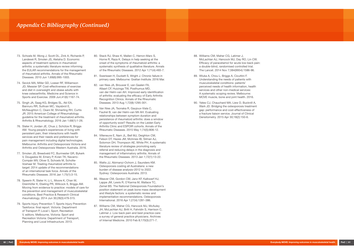- 73. Schoels M, Wong J, Scott DL, Zink A, Richards P, Landewé R, Smolen JS, Aletaha D. Economic aspects of treatment options in rheumatoid arthritis: a systematic literature review informing the EULAR recommendations for the management of rheumatoid arthritis. Annals of the Rheumatic Diseases. 2010 Jun 1;69(6):995-1003.
- 74. Sevick MA, Miller GD, Loeser RF, Williamson JD, Messier SP. Cost-effectiveness of exercise and diet in overweight and obese adults with knee osteoarthritis. Medicine and Science in Sports and Exercise. 2009 Jun;41(6):1167-74.
- 75. Singh JA, Saag KG, Bridges SL, Akl EA, Bannuru RR, Sullivan MC, Vaysbrot E, McNaughton C, Osani M, Shmerling RH, Curtis JR. 2015 American College of Rheumatology guideline for the treatment of rheumatoid arthritis. Arthritis & Rheumatology. 2016 Jan 1;68(1):1-26.
- 76. Slater H, Jordan JE, Chua J, Schütze R, Briggs AM. Young people's experiences of living with persistent pain, their interactions with health services and their needs and preferences for pain management including digital technologies. Melbourne: Arthritis and Osteoporosis Victoria and Arthritis and Osteoporosis Western Australia. 2016.
- 77. Smolen JS, Breedveld FC, Burmester GR, Bykerk V, Dougados M, Emery P, Kvien TK, Navarro-Compán MV, Oliver S, Schoels M, Scholte-Voshaar M. Treating rheumatoid arthritis to target: 2014 update of the recommendations of an international task force. Annals of the Rheumatic Diseases. 2016 Jan 1;75(1):3-15.
- 78. Speerin R, Slater H, Li L, Moore K, Chan M, Dreinhöfer K, Ebeling PR, Willcock S, Briggs AM. Moving from evidence to practice: models of care for the prevention and management of musculoskeletal conditions. Best Practice & Research Clinical rheumatology. 2014 Jun 30;28(3):479-515.
- 79. Sports Injury Prevention T. Sports Injury Prevention Taskforce: final report. Victoria. Department of Transport P, Local I, Sport, Recreation V, editors. Melbourne, Victoria: Sport and Recreation Victoria: Department of Transport, Planning and Local Infrastructure. 2013.
- 80. Stack RJ, Shaw K, Mallen C, Herron-Marx S, Horne R, Raza K. Delays in help seeking at the onset of the symptoms of rheumatoid arthritis: a systematic synthesis of qualitative literature. Annals of the Rheumatic Diseases. 2012 Apr 1;71(4):493-7.
- 81. Swerissen H, Duckett S, Wright J. Chronic failure in primary care. Melbourne: Grattan Institute. 2016 Mar.
- 82. van Nies JA, Brouwer E, van Gaalen FA, Allaart CF, Huizinga TW, Posthumus MD, van der Helm-van AH. Improved early identification of arthritis: evaluating the efficacy of Early Arthritis Recognition Clinics. Annals of the Rheumatic Diseases. 2013 Aug 1;72(8):1295-301.
- 83. Van Nies JA, Tsonaka R, Gaujoux-Viala C, Fautrel B, van der Helm-van Mil AH. Evaluating relationships between symptom duration and persistence of rheumatoid arthritis: does a window of opportunity exist? Results on the Leiden Early Arthritis Clinic and ESPOIR cohorts. Annals of the Rheumatic Diseases. 2015 May 1;74(5):806-12.
- 84. Villeneuve E, Nam JL, Bell MJ, Deighton CM, Felson DT, Hazes JM, McInnes IB, Silman AJ, Solomon DH, Thompson AE, White PH. A systematic literature review of strategies promoting early referral and reducing delays in the diagnosis and management of inflammatory arthritis. Annals of the Rheumatic Diseases. 2013 Jan 1;72(1):13-22.
- 85. Watts JJ, Abimanyi-Ochom J, Saunders KM. Osteoporosis costing all Australians: a new burden of disease analysis–2012 to 2022. Sydney: Osteoporosis Australia. 2013.
- 86. Weaver CM, Gordon CM, Janz KF, Kalkwarf HJ, Lappe JM, Lewis R, O'Karma M, Wallace TC, Zemel BS. The National Osteoporosis Foundation's position statement on peak bone mass development and lifestyle factors: a systematic review and implementation recommendations. Osteoporosis International. 2016 Apr 1;27(4):1281-386.
- 87. Williams CM, Maher CG, Hancock MJ, McAuley JH, McLachlan AJ, Britt H, Fahridin S, Harrison C, Latimer J. Low back pain and best practice care: a survey of general practice physicians. Archives of Internal Medicine. 2010 Feb 8;170(3):271-7.
- 88. Williams CM, Maher CG, Latimer J, McLachlan AJ, Hancock MJ, Day RO, Lin CW. Efficacy of paracetamol for acute low-back pain: a double-blind, randomised controlled trial. The Lancet. 2014 Nov 7;384(9954):1586-96.
- 89. Wluka A, Chou L, Briggs A, Cicuttini F. Understanding the needs of patients with musculoskeletal conditions: patients' perceived needs of health information, health services and other non-medical services: A systematic scoping review. Melbourne: MOVE muscle, bone and joint health. 2016.
- 90. Yates CJ, Chauchard MA, Liew D, Bucknill A, Wark JD. Bridging the osteoporosis treatment gap: performance and cost-effectiveness of a fracture liaison service. Journal of Clinical Densitometry. 2015 Apr 30;18(2):150-6.

## *Appendix C: Bibliography (Continued)*

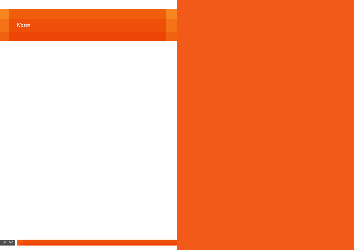| <b>Service Service</b>                                                                                               | <b>Contract Contract Contract Contract Contract Contract Contract Contract Contract Contract Contract Contract C</b> | $\mathcal{L}^{\text{max}}_{\text{max}}$                                                                              |                        | <b>Service Service</b> | $\mathcal{L}(\mathcal{L})$ and $\mathcal{L}(\mathcal{L})$ and $\mathcal{L}(\mathcal{L})$ and $\mathcal{L}(\mathcal{L})$ |
|----------------------------------------------------------------------------------------------------------------------|----------------------------------------------------------------------------------------------------------------------|----------------------------------------------------------------------------------------------------------------------|------------------------|------------------------|-------------------------------------------------------------------------------------------------------------------------|
|                                                                                                                      |                                                                                                                      |                                                                                                                      |                        |                        |                                                                                                                         |
| <b>Contract Contract Contract Contract Contract Contract Contract Contract Contract Contract Contract Contract C</b> | $\mathcal{L}^{\text{max}}_{\text{max}}$                                                                              | <b>Contract Contract Contract Contract Contract Contract Contract Contract Contract Contract Contract Contract C</b> | <b>Service Service</b> | <b>Service Service</b> | <b>Service Service</b>                                                                                                  |